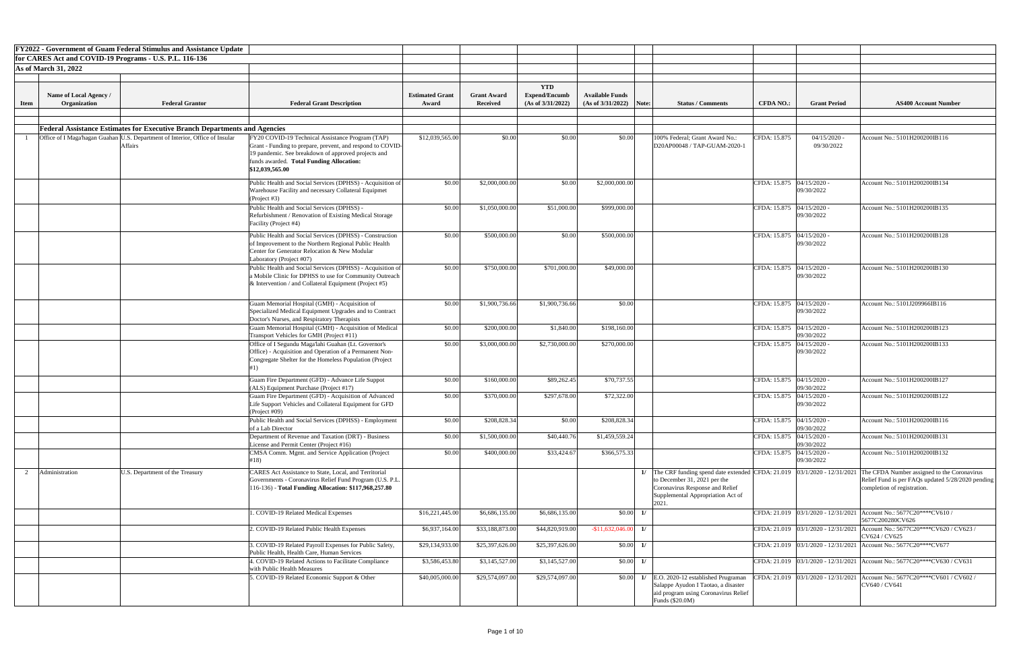|                             |                                        | <b>FY2022 - Government of Guam Federal Stimulus and Assistance Update</b>                      |                                                                                                                                                                                                                                      |                                 |                                       |                                                         |                                             |                         |                                                                                                                                                                                                 |                             |                              |                                                                                                                                 |
|-----------------------------|----------------------------------------|------------------------------------------------------------------------------------------------|--------------------------------------------------------------------------------------------------------------------------------------------------------------------------------------------------------------------------------------|---------------------------------|---------------------------------------|---------------------------------------------------------|---------------------------------------------|-------------------------|-------------------------------------------------------------------------------------------------------------------------------------------------------------------------------------------------|-----------------------------|------------------------------|---------------------------------------------------------------------------------------------------------------------------------|
|                             |                                        | for CARES Act and COVID-19 Programs - U.S. P.L. 116-136                                        |                                                                                                                                                                                                                                      |                                 |                                       |                                                         |                                             |                         |                                                                                                                                                                                                 |                             |                              |                                                                                                                                 |
| <b>As of March 31, 2022</b> |                                        |                                                                                                |                                                                                                                                                                                                                                      |                                 |                                       |                                                         |                                             |                         |                                                                                                                                                                                                 |                             |                              |                                                                                                                                 |
|                             |                                        |                                                                                                |                                                                                                                                                                                                                                      |                                 |                                       |                                                         |                                             |                         |                                                                                                                                                                                                 |                             |                              |                                                                                                                                 |
| <b>Item</b>                 | Name of Local Agency /<br>Organization | <b>Federal Grantor</b>                                                                         | <b>Federal Grant Description</b>                                                                                                                                                                                                     | <b>Estimated Grant</b><br>Award | <b>Grant Award</b><br><b>Received</b> | <b>YTD</b><br><b>Expend/Encumb</b><br>(As of 3/31/2022) | <b>Available Funds</b><br>(As of 3/31/2022) | Note:                   | <b>Status / Comments</b>                                                                                                                                                                        | <b>CFDA NO.:</b>            | <b>Grant Period</b>          | <b>AS400 Account Number</b>                                                                                                     |
|                             |                                        |                                                                                                |                                                                                                                                                                                                                                      |                                 |                                       |                                                         |                                             |                         |                                                                                                                                                                                                 |                             |                              |                                                                                                                                 |
|                             |                                        | <b>Federal Assistance Estimates for Executive Branch Departments and Agencies</b>              |                                                                                                                                                                                                                                      |                                 |                                       |                                                         |                                             |                         |                                                                                                                                                                                                 |                             |                              |                                                                                                                                 |
|                             |                                        | Office of I Maga'hagan Guahan U.S. Department of Interior, Office of Insular<br><b>Affairs</b> | FY20 COVID-19 Technical Assistance Program (TAP)<br>Grant - Funding to prepare, prevent, and respond to COVID-<br>19 pandemic. See breakdown of approved projects and<br>funds awarded. Total Funding Allocation:<br>\$12,039,565.00 | \$12,039,565.00                 | \$0.00                                | \$0.00                                                  | \$0.00                                      |                         | 100% Federal; Grant Award No.:<br>D20AP00048 / TAP-GUAM-2020-1                                                                                                                                  | CFDA: 15.875                | $04/15/2020$ .<br>09/30/2022 | Account No.: 5101H200200IB116                                                                                                   |
|                             |                                        |                                                                                                | Public Health and Social Services (DPHSS) - Acquisition of<br>Warehouse Facility and necessary Collateral Equipmet<br>(Project #3)                                                                                                   | \$0.00                          | \$2,000,000.00                        | \$0.00                                                  | \$2,000,000.00                              |                         |                                                                                                                                                                                                 | CFDA: 15.875 04/15/2020 -   | 09/30/2022                   | Account No.: 5101H200200IB134                                                                                                   |
|                             |                                        |                                                                                                | Public Health and Social Services (DPHSS) -<br>Refurbishment / Renovation of Existing Medical Storage<br>Facility (Project #4)                                                                                                       | \$0.00                          | \$1,050,000.00                        | \$51,000.00                                             | \$999,000.00                                |                         |                                                                                                                                                                                                 | CFDA: 15.875   04/15/2020 - | 09/30/2022                   | Account No.: 5101H200200IB135                                                                                                   |
|                             |                                        |                                                                                                | Public Health and Social Services (DPHSS) - Construction<br>of Improvement to the Northern Regional Public Health<br>Center for Generator Relocation & New Modular<br>Laboratory (Project #07)                                       | \$0.00                          | \$500,000.00                          | \$0.00                                                  | \$500,000.00                                |                         |                                                                                                                                                                                                 | CFDA: 15.875 04/15/2020 -   | 09/30/2022                   | Account No.: 5101H200200IB128                                                                                                   |
|                             |                                        |                                                                                                | Public Health and Social Services (DPHSS) - Acquisition of<br>a Mobile Clinic for DPHSS to use for Community Outreach<br>& Intervention / and Collateral Equipment (Project #5)                                                      | \$0.00                          | \$750,000.00                          | \$701,000.00                                            | \$49,000.00                                 |                         |                                                                                                                                                                                                 | CFDA: 15.875 04/15/2020 -   | 09/30/2022                   | Account No.: 5101H200200IB130                                                                                                   |
|                             |                                        |                                                                                                | Guam Memorial Hospital (GMH) - Acquisition of<br>Specialized Medical Equipment Upgrades and to Contract<br>Doctor's Nurses, and Respiratory Therapists                                                                               | \$0.00                          | \$1,900,736.66                        | \$1,900,736.66                                          | \$0.00                                      |                         |                                                                                                                                                                                                 | CFDA: 15.875   04/15/2020 - | 09/30/2022                   | Account No.: 5101J209966IB116                                                                                                   |
|                             |                                        |                                                                                                | Guam Memorial Hospital (GMH) - Acquisition of Medical<br>Transport Vehicles for GMH (Project #11)                                                                                                                                    | \$0.00                          | \$200,000.00                          | \$1,840.00                                              | \$198,160.00                                |                         |                                                                                                                                                                                                 | CFDA: 15.875 04/15/2020 -   | 09/30/2022                   | Account No.: 5101H200200IB123                                                                                                   |
|                             |                                        |                                                                                                | Office of I Segundu Maga'lahi Guahan (Lt. Governor's<br>Office) - Acquisition and Operation of a Permanent Non-<br>Congregate Shelter for the Homeless Population (Project                                                           | \$0.00                          | \$3,000,000.00                        | \$2,730,000.00                                          | \$270,000.00                                |                         |                                                                                                                                                                                                 | CFDA: 15.875 04/15/2020 -   | 09/30/2022                   | Account No.: 5101H200200IB133                                                                                                   |
|                             |                                        |                                                                                                | Guam Fire Department (GFD) - Advance Life Suppot<br>(ALS) Equipment Purchase (Project #17)                                                                                                                                           | \$0.00                          | \$160,000.00                          | \$89,262.45                                             | \$70,737.55                                 |                         |                                                                                                                                                                                                 | CFDA: 15.875 04/15/2020 -   | 09/30/2022                   | Account No.: 5101H200200IB127                                                                                                   |
|                             |                                        |                                                                                                | Guam Fire Department (GFD) - Acquisition of Advanced<br>Life Support Vehicles and Collateral Equipment for GFD<br>(Project #09)                                                                                                      | \$0.00                          | \$370,000.00                          | \$297,678.00                                            | \$72,322.00                                 |                         |                                                                                                                                                                                                 | CFDA: 15.875                | $04/15/2020$ -<br>09/30/2022 | Account No.: 5101H200200IB122                                                                                                   |
|                             |                                        |                                                                                                | Public Health and Social Services (DPHSS) - Employment<br>of a Lab Director                                                                                                                                                          | \$0.00                          | \$208,828.34                          | \$0.00                                                  | \$208,828.34                                |                         |                                                                                                                                                                                                 | CFDA: 15.875 04/15/2020 -   | 09/30/2022                   | Account No.: 5101H200200IB116                                                                                                   |
|                             |                                        |                                                                                                | Department of Revenue and Taxation (DRT) - Business<br>License and Permit Center (Project #16)                                                                                                                                       | \$0.00<br>\$0.00                | \$1,500,000.00                        | \$40,440.76                                             | \$1,459,559.24                              |                         |                                                                                                                                                                                                 | CFDA: 15.875 04/15/2020 -   | 09/30/2022                   | Account No.: 5101H200200IB131                                                                                                   |
|                             |                                        |                                                                                                | CMSA Comm. Mgmt. and Service Application (Project<br>#18)                                                                                                                                                                            |                                 | \$400,000.00                          | \$33,424.67                                             | \$366,575.33                                |                         |                                                                                                                                                                                                 | CFDA: 15.875 04/15/2020 -   | 09/30/2022                   | Account No.: 5101H200200IB132                                                                                                   |
|                             | Administration                         | U.S. Department of the Treasury                                                                | CARES Act Assistance to State, Local, and Territorial<br>Governments - Coronavirus Relief Fund Program (U.S. P.L.<br>116-136) - Total Funding Allocation: \$117,968,257.80                                                           |                                 |                                       |                                                         |                                             |                         | 1/ The CRF funding spend date extended CFDA: $21.019$   03/1/2020 - 12/31/2021<br>to December 31, 2021 per the<br>Coronavirus Response and Relief<br>Supplemental Appropriation Act of<br>2021. |                             |                              | The CFDA Number assigned to the Coronavirus<br>Relief Fund is per FAQs updated 5/28/2020 pending<br>completion of registration. |
|                             |                                        |                                                                                                | . COVID-19 Related Medical Expenses                                                                                                                                                                                                  | \$16,221,445.00                 | \$6,686,135.00                        | \$6,686,135.00                                          |                                             | $$0.00$ 1/              |                                                                                                                                                                                                 |                             |                              | CFDA: 21.019   03/1/2020 - 12/31/2021   Account No.: 5677C20****CV610 /<br>5677C200280CV626                                     |
|                             |                                        |                                                                                                | 2. COVID-19 Related Public Health Expenses                                                                                                                                                                                           | \$6,937,164.00                  | \$33,188,873.00                       | \$44,820,919.00                                         | $-1,632,046.00$ 1/                          |                         |                                                                                                                                                                                                 |                             |                              | CFDA: 21.019 03/1/2020 - 12/31/2021 Account No.: 5677C20****CV620 / CV623 /<br>CV624 / CV625                                    |
|                             |                                        |                                                                                                | . COVID-19 Related Payroll Expenses for Public Safety,<br>Public Health, Health Care, Human Services                                                                                                                                 | \$29,134,933.00                 | \$25,397,626.00                       | \$25,397,626.00                                         |                                             | $$0.00\quad 1/$         |                                                                                                                                                                                                 |                             |                              | CFDA: 21.019   03/1/2020 - 12/31/2021   Account No.: 5677C20****CV677                                                           |
|                             |                                        |                                                                                                | . COVID-19 Related Actions to Facilitate Compliance<br>with Public Health Measures                                                                                                                                                   | \$3,586,453.80                  | \$3,145,527.00                        | \$3,145,527.00                                          |                                             | $$0.00$ 1/              |                                                                                                                                                                                                 |                             |                              | CFDA: 21.019   03/1/2020 - 12/31/2021   Account No.: 5677C20****CV630 / CV631                                                   |
|                             |                                        |                                                                                                | . COVID-19 Related Economic Support & Other                                                                                                                                                                                          | \$40,005,000.00                 | \$29,574,097.00                       | \$29,574,097.00                                         |                                             | $\vert 0.00 \vert \, 1$ | E.O. 2020-12 established Prugraman<br>Salappe Ayudon I Taotao, a disaster<br>aid program using Coronavirus Relief<br>Funds $(\$20.0M)$                                                          |                             |                              | CFDA: 21.019   03/1/2020 - 12/31/2021   Account No.: 5677C20****CV601 / CV602 /<br>CV640 / CV641                                |

| nt Number                                                    |
|--------------------------------------------------------------|
|                                                              |
|                                                              |
| J<br>DIB116                                                  |
|                                                              |
| $\overline{OB134}$                                           |
| <b>IB135</b>                                                 |
| $\overline{OB128}$                                           |
|                                                              |
| <b>IB130</b>                                                 |
| $\overline{B116}$                                            |
| $\overline{IB}$ 123                                          |
| <b>IB133</b>                                                 |
| <b>IB127</b>                                                 |
| <b>IB122</b>                                                 |
| <b>IB116</b>                                                 |
| <b>IB131</b>                                                 |
| $\overline{IB1}32$                                           |
| $\overline{d}$ to the Coronavirus<br>dated 5/28/2020 pending |
| CV610/                                                       |
| CV620 / CV623 /                                              |
| $\overline{\text{CV}677}$                                    |
| CV630 / CV631                                                |
| CV601 / CV602 /                                              |
|                                                              |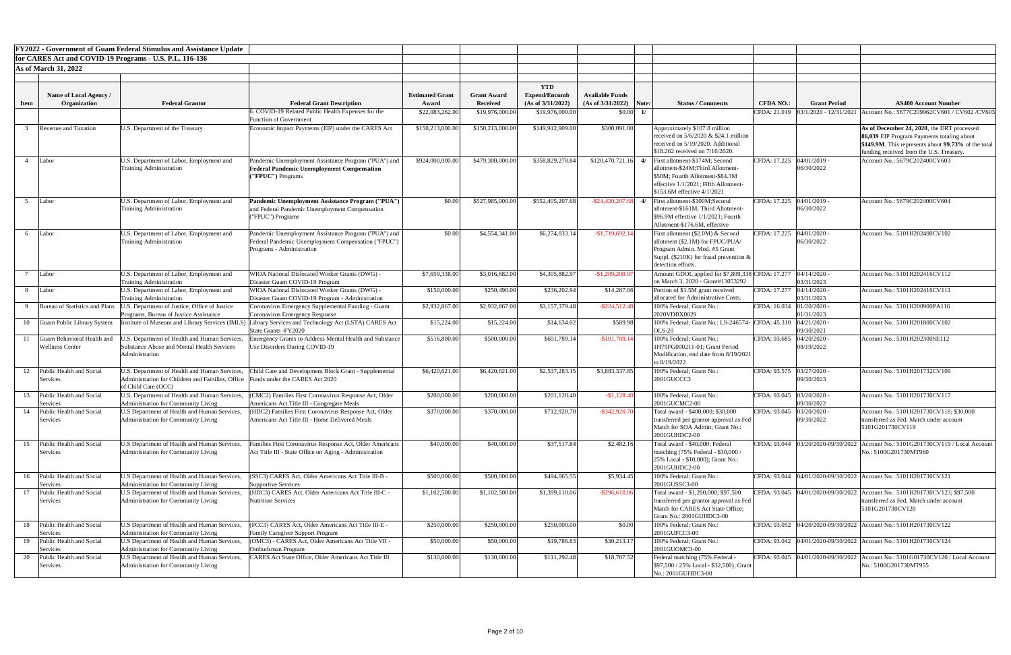|             |                                                      | <b>FY2022 - Government of Guam Federal Stimulus and Assistance Update</b>                                                                               |                                                                                                                                          |                        |                          |                                    |                        |       |                                                                                                                                                                                                   |                  |                                           |                                                                                                                                                                                             |
|-------------|------------------------------------------------------|---------------------------------------------------------------------------------------------------------------------------------------------------------|------------------------------------------------------------------------------------------------------------------------------------------|------------------------|--------------------------|------------------------------------|------------------------|-------|---------------------------------------------------------------------------------------------------------------------------------------------------------------------------------------------------|------------------|-------------------------------------------|---------------------------------------------------------------------------------------------------------------------------------------------------------------------------------------------|
|             |                                                      | for CARES Act and COVID-19 Programs - U.S. P.L. 116-136                                                                                                 |                                                                                                                                          |                        |                          |                                    |                        |       |                                                                                                                                                                                                   |                  |                                           |                                                                                                                                                                                             |
|             | <b>As of March 31, 2022</b>                          |                                                                                                                                                         |                                                                                                                                          |                        |                          |                                    |                        |       |                                                                                                                                                                                                   |                  |                                           |                                                                                                                                                                                             |
|             |                                                      |                                                                                                                                                         |                                                                                                                                          |                        |                          |                                    |                        |       |                                                                                                                                                                                                   |                  |                                           |                                                                                                                                                                                             |
|             | Name of Local Agency /                               |                                                                                                                                                         |                                                                                                                                          | <b>Estimated Grant</b> | <b>Grant Award</b>       | <b>YTD</b><br><b>Expend/Encumb</b> | <b>Available Funds</b> |       |                                                                                                                                                                                                   |                  |                                           |                                                                                                                                                                                             |
| <b>Item</b> | Organization                                         | <b>Federal Grantor</b>                                                                                                                                  | <b>Federal Grant Description</b>                                                                                                         | Award                  | <b>Received</b>          | (As of 3/31/2022)                  | (As of 3/31/2022)      | Note: | <b>Status / Comments</b>                                                                                                                                                                          | <b>CFDA NO.:</b> | <b>Grant Period</b>                       | <b>AS400 Account Number</b>                                                                                                                                                                 |
|             |                                                      |                                                                                                                                                         | 5. COVID-19 Related Public Health Expenses for the                                                                                       | \$22,083,262.00        | \$19,976,000.00          | \$19,976,000.00                    | \$0.00                 |       |                                                                                                                                                                                                   |                  | CFDA: 21.019 03/1/2020 - 12/31/2021       | Account No.: 5677C209962CV601 / CV602 / CV603                                                                                                                                               |
|             |                                                      |                                                                                                                                                         | <b>Function of Government</b>                                                                                                            |                        |                          |                                    |                        |       |                                                                                                                                                                                                   |                  |                                           |                                                                                                                                                                                             |
|             | <b>Revenue and Taxation</b>                          | U.S. Department of the Treasury                                                                                                                         | Economic Impact Payments (EIP) under the CARES Act                                                                                       | \$150,213,000.00       | \$150,213,000.00         | \$149,912,909.00                   | \$300,091.00           |       | Approximately \$107.8 million<br>received on $5/6/2020 \& $24.1$ million<br>received on 5/19/2020. Additional<br>\$18.262 received on 7/16/2020.                                                  |                  |                                           | As of December 24, 2020, the DRT processed<br>86,039 EIP Program Payments totaling about<br>\$149.9M. This represents about 99.73% of the total<br>funding received from the U.S. Treasury. |
|             | Labor                                                | U.S. Department of Labor, Employment and<br><b>Training Administration</b>                                                                              | Pandemic Unemployment Assistance Program ("PUA") and<br><b>Federal Pandemic Unemployment Compensation</b><br>("FPUC") Programs           | \$924,000,000.00       | \$479,300,000.00         | \$358,829,278.84                   |                        |       | $$120,470,721.16$ 4/ First allotment-\$174M; Second<br>allotment-\$24M;Third Allotment-<br>\$50M; Fourth Allotment-\$84.3M<br>effective 1/1/2021; Fifth Allotment-<br>\$153.6M effective 4/1/2021 |                  | CFDA: 17.225  04/01/2019 -<br>06/30/2022  | Account No.: 5679C202400CV603                                                                                                                                                               |
|             | Labor                                                | U.S. Department of Labor, Employment and<br><b>Training Administration</b>                                                                              | Pandemic Unemployment Assistance Program ("PUA")<br>and Federal Pandemic Unemployment Compensation<br>("FPUC") Programs                  | \$0.00                 | \$527,985,000.00         | \$552,405,207.68                   |                        |       | $-24,420,207.68$ 4/ First allotment-\$100M;Second<br>allotment-\$161M; Third Allotment-<br>\$96.9M effective 1/1/2021; Fourth<br>Allotment-\$176.6M, effective                                    |                  | CFDA: 17.225   04/01/2019 -<br>06/30/2022 | Account No.: 5679C202400CV604                                                                                                                                                               |
|             | Labor                                                | U.S. Department of Labor, Employment and<br><b>Training Administration</b>                                                                              | Pandemic Unemployment Assistance Program ("PUA") and<br>Federal Pandemic Unemployment Compensation ("FPUC")<br>Programs - Administration | \$0.00                 | \$4,554,341.00           | \$6,274,033.14                     | $-$1,719,692.14$       |       | First allotment (\$2.0M) & Second<br>allotment (\$2.1M) for FPUC/PUA/<br>Program Admin. Mod. #5 Grant<br>Suppl. (\$210K) for fraud prevention $\&$<br>detection efforts.                          |                  | CFDA: 17.225  04/01/2020 -<br>06/30/2022  | Account No.: 5101H202400CV102                                                                                                                                                               |
|             | Labor                                                | U.S. Department of Labor, Employment and<br><b>Training Administration</b>                                                                              | WIOA National Dislocated Worker Grants (DWG) -<br>Disaster Guam COVID-19 Program                                                         | \$7,659,338.00         | \$3,016,682.00           | \$4,305,882.97                     | $-$1,289,200.97$       |       | Amount GDOL applied for \$7,809,338 CFDA: 17.277 04/14/2020 -<br>on March 3, 2020 - Grant#13053292                                                                                                |                  | 03/31/2023                                | Account No.: 5101H202416CV112                                                                                                                                                               |
|             | Labor                                                | U.S. Department of Labor, Employment and<br><b>Training Administration</b>                                                                              | WIOA National Dislocated Worker Grants (DWG) -<br>Disaster Guam COVID-19 Program - Administration                                        | \$150,000.00           | \$250,490.00             | \$236,202.94                       | \$14,287.06            |       | Portion of \$1.5M grant received<br>allocated for Administrative Costs.                                                                                                                           | CFDA: 17.277     | 04/14/2020<br>03/31/2023                  | Account No.: 5101H202416CV111                                                                                                                                                               |
|             |                                                      | Bureau of Statistics and Plans   U.S. Department of Justice, Office of Justice<br>Programs, Bureau of Justice Assistance                                | Coronavirus Emergency Supplemental Funding - Guam<br>Coronavirus Emergency Response                                                      | \$2,932,867.00         | \$2,932,867.00           | \$3,157,379.48                     | $-$ \$224,512.48       |       | 100% Federal; Grant No.:<br>2020VDBX0029                                                                                                                                                          |                  | CFDA: 16.034 01/20/2020 -<br>01/31/2023   | Account No.: 5101H200900PA116                                                                                                                                                               |
| 10          | Guam Public Library System                           |                                                                                                                                                         | Institute of Museum and Library Services (IMLS) Library Services and Technology Act (LSTA) CARES Act<br>State Grants - FY2020            | \$15,224.00            | \$15,224.00              | \$14,634.02                        | \$589.98               |       | 100% Federal; Grant No.: LS-246574- CFDA: 45.310 04/21/2020 -<br>$OLS-20$                                                                                                                         |                  | 09/30/2021                                | Account No.: 5101H201800CV102                                                                                                                                                               |
|             | Guam Behavioral Health and<br><b>Wellness Center</b> | J.S. Department of Health and Human Services,<br><b>Substance Abuse and Mental Health Services</b><br>Administration                                    | Emergency Grants to Address Mental Health and Substance<br>Use Disorders During COVID-19                                                 | \$516,800.00           | \$500,000.00             | \$601,789.14                       | $-$101,789.14$         |       | 100% Federal; Grant No.:<br>1H79FG000211-01; Grant Period<br>Modification, end date from 8/19/2021<br>to 8/19/2022                                                                                | CFDA: 93.685     | 04/20/2020<br>08/19/2022                  | Account No.: 5101H202300SE112                                                                                                                                                               |
|             | Public Health and Social<br>Services                 | U.S. Department of Health and Human Services,<br>Administration for Children and Families, Office Funds under the CARES Act 2020<br>of Child Care (OCC) | Child Care and Development Block Grant - Supplemental                                                                                    | \$6,420,621.00         | \$6,420,621.00           | \$2,537,283.15                     | \$3,883,337.85         |       | 100% Federal; Grant No.:<br>2001GUCCC3                                                                                                                                                            |                  | CFDA: 93.575 03/27/2020 -<br>09/30/2023   | Account No.: 5101H201732CV109                                                                                                                                                               |
|             | Public Health and Social<br>Services                 | U.S. Department of Health and Human Services,<br>Administration for Community Living                                                                    | (CMC2) Families First Coronavirus Response Act, Older<br>Americans Act Title III - Congregate Meals                                      | \$200,000.00           | \$200,000.00             | \$201,128.40                       | $-$1,128.40$           |       | 100% Federal; Grant No.:<br>2001GUCMC2-00                                                                                                                                                         |                  | CFDA: 93.045 03/20/2020 -<br>09/30/2022   | Account No.: 5101H201730CV117                                                                                                                                                               |
|             | Public Health and Social<br>Services                 | U.S Department of Health and Human Services.<br>Administration for Community Living                                                                     | (HDC2) Families First Coronavirus Response Act, Older<br>Americans Act Title III - Home Delivered Meals                                  | \$370,000.00           | $\overline{$}370,000.00$ | \$712,920.70                       | $-$ \$342,920.70       |       | Total award - \$400,000; \$30,000<br>transferred per grantor approval as Fed<br>Match for SOA Admin; Grant No.:<br>2001GUHDC2-00                                                                  | CFDA: 93.045     | 03/20/2020<br>09/30/2022                  | Account No.: 5101H201730CV118; \$30,000<br>transferred as Fed. Match under account<br>5101G201730CV119                                                                                      |
| 15          | Public Health and Social<br>Services                 | U.S Department of Health and Human Services,<br>Administration for Community Living                                                                     | Families First Coronavirus Response Act, Older Americans<br>Act Title III - State Office on Aging - Administration                       | \$40,000.00            | \$40,000.00              | \$37,517.84                        | \$2,482.16             |       | Total award - \$40,000; Federal<br>matching (75% Federal - \$30,000 /<br>25% Local - \$10,000); Grant No.:<br>2001GUHDC2-00                                                                       |                  |                                           | CFDA: 93.044   03/20/2020-09/30/2022   Account No.: 5101G201730CV119 / Local Account<br>No.: 5100G201730MT960                                                                               |
| 16          | Public Health and Social<br>Services                 | U.S Department of Health and Human Services,<br>Administration for Community Living                                                                     | SSC3) CARES Act, Older Americans Act Title III-B -<br>Supportive Services                                                                | \$500,000.00           | \$500,000.00             | \$494,065.55                       | \$5,934.45             |       | 100% Federal; Grant No.:<br>2001GUSSC3-00                                                                                                                                                         |                  |                                           | CFDA: 93.044  04/01/2020-09/30/2022   Account No.: 5101H201730CV121                                                                                                                         |
|             | Public Health and Social<br>Services                 | U.S Department of Health and Human Services,<br>Administration for Community Living                                                                     | (HDC3) CARES Act, Older Americans Act Title III-C -<br><b>Nutrition Services</b>                                                         | \$1,102,500.00         | \$1,102,500.00           | \$1,399,110.06                     | $-$ \$296,610.06       |       | Total award - \$1,200,000; \$97,500<br>transferred per grantor approval as Fed<br>Match for CARES Act State Office;<br>Grant No.: 2001GUHDC3-00                                                   |                  |                                           | CFDA: 93.045  04/01/2020-09/30/2022   Account No.: 5101H201730CV123; \$97,500<br>transferred as Fed. Match under account<br>5101G201730CV120                                                |
| 18          | Public Health and Social<br>Services                 | U.S Department of Health and Human Services,<br><b>Administration for Community Living</b>                                                              | (FCC3) CARES Act, Older Americans Act Title III-E -<br><b>Family Caregiver Support Program</b>                                           | \$250,000.00           | \$250,000.00             | \$250,000.00                       | \$0.00                 |       | 100% Federal; Grant No.:<br>2001GUFCC3-00                                                                                                                                                         |                  |                                           | CFDA: 93.052 04/20/2020-09/30/2022 Account No.: 5101H201730CV122                                                                                                                            |
| 19          | Public Health and Social<br>Services                 | U.S Department of Health and Human Services,<br>Administration for Community Living                                                                     | (OMC3) - CARES Act, Older Americans Act Title VII -<br>Ombudsman Program                                                                 | \$50,000.00            | \$50,000.00              | \$19,786.83                        | \$30,213.17            |       | 100% Federal; Grant No.:<br>2001GUOMC3-00                                                                                                                                                         |                  |                                           | CFDA: 93.042  04/01/2020-09/30/2022   Account No.: 5101H201730CV124                                                                                                                         |
| 20          | Public Health and Social<br>Services                 | U.S Department of Health and Human Services,<br>Administration for Community Living                                                                     | CARES Act State Office, Older Americans Act Title III                                                                                    | \$130,000.00           | \$130,000.00             | \$111,292.48                       | \$18,707.52            |       | Federal matching (75% Federal -<br>\$97,500 / 25% Local - \$32,500); Grant<br>No.: 2001GUHDC3-00                                                                                                  |                  |                                           | CFDA: 93.045  04/01/2020-09/30/2022   Account No.: 5101G01730CV120 / Local Account<br>No.: 5100G201730MT955                                                                                 |

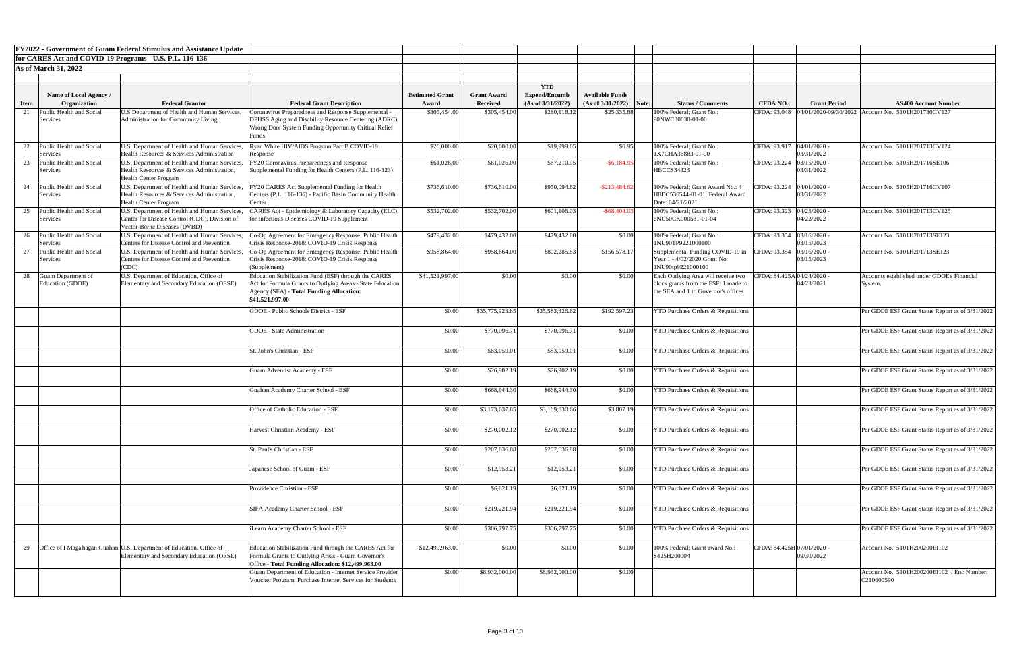|                                                         |                                         | <b>FY2022 - Government of Guam Federal Stimulus and Assistance Update</b>                                          |                                                                                                                             |                        |                    |                                    |                        |       |                                                                             |                             |                              |                                                                       |
|---------------------------------------------------------|-----------------------------------------|--------------------------------------------------------------------------------------------------------------------|-----------------------------------------------------------------------------------------------------------------------------|------------------------|--------------------|------------------------------------|------------------------|-------|-----------------------------------------------------------------------------|-----------------------------|------------------------------|-----------------------------------------------------------------------|
| for CARES Act and COVID-19 Programs - U.S. P.L. 116-136 |                                         |                                                                                                                    |                                                                                                                             |                        |                    |                                    |                        |       |                                                                             |                             |                              |                                                                       |
| <b>As of March 31, 2022</b>                             |                                         |                                                                                                                    |                                                                                                                             |                        |                    |                                    |                        |       |                                                                             |                             |                              |                                                                       |
|                                                         |                                         |                                                                                                                    |                                                                                                                             |                        |                    |                                    |                        |       |                                                                             |                             |                              |                                                                       |
|                                                         | Name of Local Agency /                  |                                                                                                                    |                                                                                                                             | <b>Estimated Grant</b> | <b>Grant Award</b> | <b>YTD</b><br><b>Expend/Encumb</b> | <b>Available Funds</b> |       |                                                                             |                             |                              |                                                                       |
| <b>Item</b>                                             | Organization                            | <b>Federal Grantor</b>                                                                                             | <b>Federal Grant Description</b>                                                                                            | Award                  | Received           | (As of $3/31/2022$ )               | (As of 3/31/2022)      | Note: | <b>Status / Comments</b>                                                    | <b>CFDA NO.:</b>            | <b>Grant Period</b>          | <b>AS400 Account Number</b>                                           |
|                                                         | Public Health and Social                | U.S Department of Health and Human Services,                                                                       | Coronavirus Preparedness and Response Supplemental                                                                          | \$305,454.00           | \$305,454.00       | \$280,118.12                       | \$25,335.88            |       | 100% Federal; Grant No.:                                                    |                             |                              | CFDA: 93.048  04/01/2020-09/30/2022   Account No.: 5101H201730CV127   |
|                                                         | Services                                | Administration for Community Living                                                                                | DPHSS Aging and Disability Resource Centering (ADRC)<br>Wrong Door System Funding Opportunity Critical Relief               |                        |                    |                                    |                        |       | 90NWC30038-01-00                                                            |                             |                              |                                                                       |
|                                                         | 22 Public Health and Social<br>Services | U.S. Department of Health and Human Services,<br>Health Resources & Services Administration                        | yan White HIV/AIDS Program Part B COVID-19<br>Response                                                                      | \$20,000.00            | \$20,000.00        | \$19,999.05                        | \$0.95                 |       | 100% Federal; Grant No.:<br>1X7CHA36883-01-00                               | CFDA: 93.917   04/01/2020 - | 03/31/2022                   | Account No.: 5101H201713CV124                                         |
|                                                         | Public Health and Social                | U.S. Department of Health and Human Services,                                                                      | Y20 Coronavirus Preparedness and Response                                                                                   | \$61,026.00            | \$61,026.00        | \$67,210.95                        | $-$ \$6,184.9          |       | 100% Federal; Grant No.:                                                    | CFDA: 93.224                | 03/15/2020                   | Account No.: 5105H201716SE106                                         |
|                                                         | Services                                | Health Resources & Services Administration,<br><b>Health Center Program</b>                                        | Supplemental Funding for Health Centers (P.L. 116-123)                                                                      |                        |                    |                                    |                        |       | <b>HBCCS34823</b>                                                           |                             | 03/31/2022                   |                                                                       |
| 24                                                      | Public Health and Social                | U.S. Department of Health and Human Services,                                                                      | Y20 CARES Act Supplemental Funding for Health                                                                               | \$736,610.00           | \$736,610.00       | \$950,094.62                       | $-$ \$213,484.62       |       | 100% Federal; Grant Award No.: 4                                            | CFDA: 93.224                | $04/01/2020$ -               | Account No.: 5105H201716CV107                                         |
|                                                         | Services                                | Health Resources & Services Administration,<br><b>Health Center Program</b>                                        | Centers (P.L. 116-136) - Pacific Basin Community Health<br>enter                                                            |                        |                    |                                    |                        |       | H8DC536544-01-01; Federal Award<br>Date: 04/21/2021                         |                             | 03/31/2022                   |                                                                       |
| 25                                                      | Public Health and Social<br>Services    | U.S. Department of Health and Human Services,<br>Center for Disease Control (CDC), Division of                     | CARES Act - Epidemiology & Laboratory Capacity (ELC)<br>for Infectious Diseases COVID-19 Supplement                         | \$532,702.00           | \$532,702.00       | \$601,106.03                       | $-$ \$68,404.0         |       | 100% Federal; Grant No.:<br>6NU50CK000531-01-04                             | CFDA: 93.323                | $04/23/2020$ -<br>04/22/2022 | Account No.: 5101H201713CV125                                         |
|                                                         |                                         | Vector-Borne Diseases (DVBD)                                                                                       |                                                                                                                             |                        |                    |                                    |                        |       |                                                                             |                             |                              |                                                                       |
|                                                         | Public Health and Social<br>Services    | U.S. Department of Health and Human Services,<br>Centers for Disease Control and Prevention                        | Co-Op Agreement for Emergency Response: Public Health<br>Crisis Response-2018: COVID-19 Crisis Response                     | \$479,432.00           | \$479,432.00       | \$479,432.00                       | \$0.00                 |       | 100% Federal; Grant No.:<br>1NU90TP9221000100                               | CFDA: 93.354   03/16/2020 - | 03/15/2023                   | Account No.: 5101H201713SE123                                         |
|                                                         | Public Health and Social                | U.S. Department of Health and Human Services,                                                                      | Co-Op Agreement for Emergency Response: Public Health                                                                       | \$958,864.00           | \$958,864.00       | \$802,285.83                       | \$156,578.17           |       | Supplemental Funding COVID-19 in                                            | CFDA: 93.354                | 03/16/2020                   | Account No.: 5101H201713SE123                                         |
|                                                         | Services                                | Centers for Disease Control and Prevention<br>(CDC)                                                                | Crisis Response-2018: COVID-19 Crisis Response<br>(Supplement)                                                              |                        |                    |                                    |                        |       | Year 1 - 4/02/2020 Grant No:<br>1NU90tp9221000100                           |                             | 03/15/2023                   |                                                                       |
|                                                         | 28 Guam Department of                   | U.S. Department of Education, Office of                                                                            | Education Stabilization Fund (ESF) through the CARES                                                                        | \$41,521,997.00        | \$0.00             | \$0.00                             | \$0.00                 |       | Each Outlying Area will receive two CFDA: 84.425A 04/24/2020 -              |                             |                              | Accounts established under GDOE's Financial                           |
|                                                         | Education (GDOE)                        | Elementary and Secondary Education (OESE)                                                                          | Act for Formula Grants to Outlying Areas - State Education<br><b>Agency (SEA) - Total Funding Allocation:</b>               |                        |                    |                                    |                        |       | block grants from the ESF: 1 made to<br>the SEA and 1 to Governor's offices |                             | 04/23/2021                   | System.                                                               |
|                                                         |                                         |                                                                                                                    | \$41,521,997.00                                                                                                             |                        |                    |                                    |                        |       |                                                                             |                             |                              |                                                                       |
|                                                         |                                         |                                                                                                                    | <b>GDOE</b> - Public Schools District - ESF                                                                                 | \$0.00                 | \$35,775,923.85    | \$35,583,326.62                    | \$192,597.23           |       | <b>YTD Purchase Orders &amp; Requisitions</b>                               |                             |                              | Per GDOE ESF Grant Status Report as of 3/31/2022                      |
|                                                         |                                         |                                                                                                                    | <b>GDOE</b> - State Administration                                                                                          | \$0.00                 | \$770,096.71       | \$770,096.71                       | \$0.00                 |       | <b>YTD Purchase Orders &amp; Requisitions</b>                               |                             |                              | Per GDOE ESF Grant Status Report as of 3/31/2022                      |
|                                                         |                                         |                                                                                                                    | St. John's Christian - ESF                                                                                                  | \$0.00                 | \$83,059.01        | \$83,059.01                        | \$0.00                 |       | <b>YTD Purchase Orders &amp; Requisitions</b>                               |                             |                              | Per GDOE ESF Grant Status Report as of 3/31/2022                      |
|                                                         |                                         |                                                                                                                    |                                                                                                                             |                        |                    |                                    |                        |       |                                                                             |                             |                              |                                                                       |
|                                                         |                                         |                                                                                                                    | <b>Guam Adventist Academy - ESF</b>                                                                                         | \$0.00                 | \$26,902.19        | \$26,902.19                        | \$0.00                 |       | <b>YTD Purchase Orders &amp; Requisitions</b>                               |                             |                              | Per GDOE ESF Grant Status Report as of 3/31/2022                      |
|                                                         |                                         |                                                                                                                    | Guahan Academy Charter School - ESF                                                                                         | \$0.00                 | \$668,944.30       | \$668,944.30                       | \$0.00                 |       | <b>YTD Purchase Orders &amp; Requisitions</b>                               |                             |                              | Per GDOE ESF Grant Status Report as of 3/31/2022                      |
|                                                         |                                         |                                                                                                                    |                                                                                                                             |                        |                    |                                    |                        |       |                                                                             |                             |                              |                                                                       |
|                                                         |                                         |                                                                                                                    | Office of Catholic Education - ESF                                                                                          | \$0.00                 | \$3,173,637.85     | \$3,169,830.66                     | \$3,807.19             |       | <b>YTD Purchase Orders &amp; Requisitions</b>                               |                             |                              | Per GDOE ESF Grant Status Report as of 3/31/2022                      |
|                                                         |                                         |                                                                                                                    | Harvest Christian Academy - ESF                                                                                             | \$0.00                 | \$270,002.12       | \$270,002.12                       | \$0.00                 |       | <b>YTD Purchase Orders &amp; Requisitions</b>                               |                             |                              | Per GDOE ESF Grant Status Report as of 3/31/2022                      |
|                                                         |                                         |                                                                                                                    | St. Paul's Christian - ESF                                                                                                  | \$0.00                 | \$207,636.88       | \$207,636.88                       | \$0.00                 |       | <b>YTD Purchase Orders &amp; Requisitions</b>                               |                             |                              | Per GDOE ESF Grant Status Report as of 3/31/2022                      |
|                                                         |                                         |                                                                                                                    |                                                                                                                             |                        |                    |                                    |                        |       |                                                                             |                             |                              |                                                                       |
|                                                         |                                         |                                                                                                                    | Japanese School of Guam - ESF                                                                                               | \$0.00                 | \$12,953.21        | \$12,953.21                        | \$0.00                 |       | <b>YTD Purchase Orders &amp; Requisitions</b>                               |                             |                              | Per GDOE ESF Grant Status Report as of 3/31/2022                      |
|                                                         |                                         |                                                                                                                    | Providence Christian - ESF                                                                                                  | \$0.00                 | \$6,821.19         | \$6,821.19                         | \$0.00                 |       | <b>YTD Purchase Orders &amp; Requisitions</b>                               |                             |                              | Per GDOE ESF Grant Status Report as of 3/31/2022                      |
|                                                         |                                         |                                                                                                                    | SIFA Academy Charter School - ESF                                                                                           | \$0.00                 | \$219,221.94       | \$219,221.94                       | \$0.00                 |       | <b>YTD Purchase Orders &amp; Requisitions</b>                               |                             |                              | Per GDOE ESF Grant Status Report as of 3/31/2022                      |
|                                                         |                                         |                                                                                                                    | iLearn Academy Charter School - ESF                                                                                         | \$0.00                 | \$306,797.75       | \$306,797.75                       | \$0.00                 |       | <b>YTD Purchase Orders &amp; Requisitions</b>                               |                             |                              | Per GDOE ESF Grant Status Report as of 3/31/2022                      |
|                                                         |                                         |                                                                                                                    |                                                                                                                             |                        |                    |                                    |                        |       |                                                                             |                             |                              |                                                                       |
| 29                                                      |                                         | Office of I Maga'hagan Guahan U.S. Department of Education, Office of<br>Elementary and Secondary Education (OESE) | Education Stabilization Fund through the CARES Act for<br>Formula Grants to Outlying Areas - Guam Governor's                | \$12,499,963.00        | \$0.00             | \$0.00                             | \$0.00                 |       | 100% Federal; Grant award No.:<br>S425H200004                               | CFDA: 84.425H 07/01/2020 -  | 09/30/2022                   | Account No.: 5101H200200EI102                                         |
|                                                         |                                         |                                                                                                                    | Office - Total Funding Allocation: \$12,499,963.00                                                                          |                        |                    |                                    |                        |       |                                                                             |                             |                              |                                                                       |
|                                                         |                                         |                                                                                                                    | <b>Guam Department of Education - Internet Service Provider</b><br>Voucher Program, Purchase Internet Services for Students | \$0.00                 | \$8,932,000.00     | \$8,932,000.00                     | \$0.00                 |       |                                                                             |                             |                              | Account No.: 5101H200200EI102 / Enc Number:<br>C <sub>210600590</sub> |
|                                                         |                                         |                                                                                                                    |                                                                                                                             |                        |                    |                                    |                        |       |                                                                             |                             |                              |                                                                       |

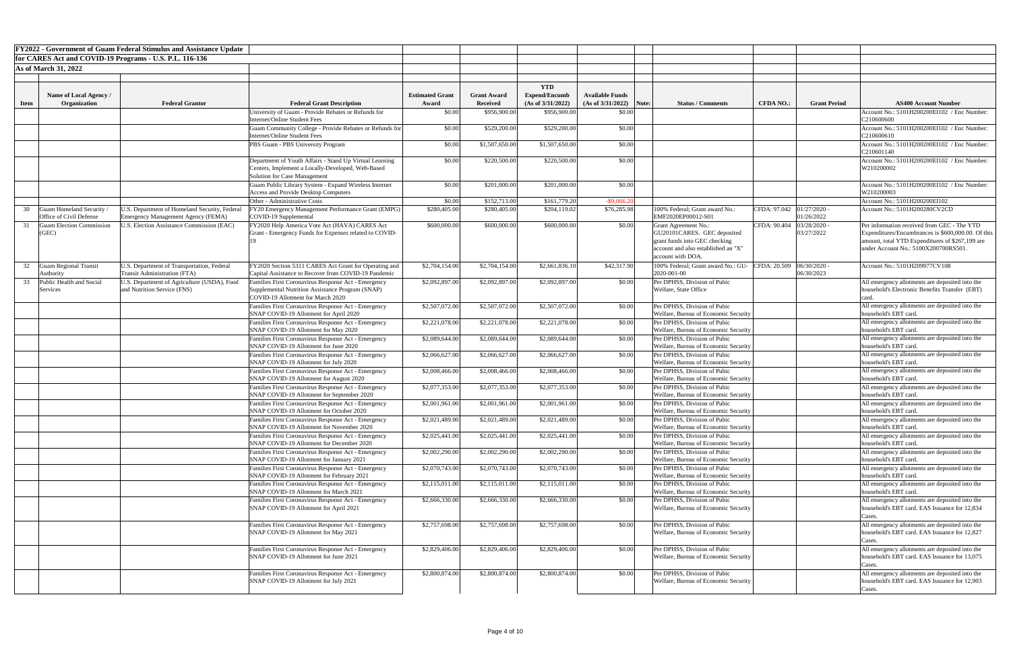|             |                                                            | <b>FY2022 - Government of Guam Federal Stimulus and Assistance Update</b>              |                                                                                                                                              |                        |                    |                      |                           |                                                                                                                                                         |                           |                          |                                                                                                                                               |
|-------------|------------------------------------------------------------|----------------------------------------------------------------------------------------|----------------------------------------------------------------------------------------------------------------------------------------------|------------------------|--------------------|----------------------|---------------------------|---------------------------------------------------------------------------------------------------------------------------------------------------------|---------------------------|--------------------------|-----------------------------------------------------------------------------------------------------------------------------------------------|
|             |                                                            | for CARES Act and COVID-19 Programs - U.S. P.L. 116-136                                |                                                                                                                                              |                        |                    |                      |                           |                                                                                                                                                         |                           |                          |                                                                                                                                               |
|             | <b>As of March 31, 2022</b>                                |                                                                                        |                                                                                                                                              |                        |                    |                      |                           |                                                                                                                                                         |                           |                          |                                                                                                                                               |
|             |                                                            |                                                                                        |                                                                                                                                              |                        |                    | <b>YTD</b>           |                           |                                                                                                                                                         |                           |                          |                                                                                                                                               |
|             | Name of Local Agency /                                     |                                                                                        |                                                                                                                                              | <b>Estimated Grant</b> | <b>Grant Award</b> | <b>Expend/Encumb</b> | <b>Available Funds</b>    |                                                                                                                                                         |                           |                          |                                                                                                                                               |
| <b>Item</b> | Organization                                               | <b>Federal Grantor</b>                                                                 | <b>Federal Grant Description</b>                                                                                                             | Award                  | <b>Received</b>    | (As of 3/31/2022)    | $(As of 3/31/2022)$ Note: | <b>Status / Comments</b>                                                                                                                                | <b>CFDA NO.:</b>          | <b>Grant Period</b>      | <b>AS400 Account Number</b>                                                                                                                   |
|             |                                                            |                                                                                        | University of Guam - Provide Rebates or Refunds for                                                                                          | \$0.00                 | \$956,900.00       | \$956,900.00         | \$0.00                    |                                                                                                                                                         |                           |                          | Account No.: 5101H200200EI102 / Enc Number:                                                                                                   |
|             |                                                            |                                                                                        | Internet/Online Student Fees<br>Guam Community College - Provide Rebates or Refunds for                                                      | \$0.00                 | \$529,200.00       | \$529,200.00         | \$0.00                    |                                                                                                                                                         |                           |                          | C210600600<br>Account No.: 5101H200200EI102 / Enc Number:                                                                                     |
|             |                                                            |                                                                                        | Internet/Online Student Fees                                                                                                                 |                        |                    |                      |                           |                                                                                                                                                         |                           |                          | C210600610                                                                                                                                    |
|             |                                                            |                                                                                        | PBS Guam - PBS University Program                                                                                                            | \$0.00                 | \$1,507,650.00     | \$1,507,650.00       | \$0.00                    |                                                                                                                                                         |                           |                          | Account No.: 5101H200200EI102 / Enc Number:<br>C210601140                                                                                     |
|             |                                                            |                                                                                        | Department of Youth Affairs - Stand Up Virtual Learning<br>Centers, Implement a Locally-Developed, Web-Based<br>Solution for Case Management | \$0.00                 | \$220,500.00       | \$220,500.00         | \$0.00                    |                                                                                                                                                         |                           |                          | Account No.: 5101H200200EI102 / Enc Number:<br>W210200002                                                                                     |
|             |                                                            |                                                                                        | Guam Public Library System - Expand Wireless Internet<br><b>Access and Provide Desktop Computers</b>                                         | \$0.00                 | \$201,000.00       | \$201,000.00         | \$0.00                    |                                                                                                                                                         |                           |                          | Account No.: 5101H200200EI102 / Enc Number:<br>W210200003                                                                                     |
|             |                                                            |                                                                                        | Other - Administrative Costs                                                                                                                 | \$0.00                 | \$152,713.00       | \$161,779.20         | $-$ \$9,066.2             |                                                                                                                                                         |                           |                          | Account No.: 5101H200200EI102                                                                                                                 |
| 30          | Guam Homeland Security                                     | J.S. Department of Homeland Security, Federal                                          | FY20 Emergency Management Performance Grant (EMPG)                                                                                           | \$280,405.00           | \$280,405.00       | \$204,119.02         | \$76,285.98               | 100% Federal; Grant award No.                                                                                                                           | CFDA: 97.042 01/27/2020 - |                          | Account No.: 5101H200280CV2CD                                                                                                                 |
|             | Office of Civil Defense<br><b>Guam Election Commission</b> | Emergency Management Agency (FEMA)<br><b>J.S. Election Assistance Commission (EAC)</b> | COVID-19 Supplemental                                                                                                                        | \$600,000.00           | \$600,000.00       | \$600,000.00         | \$0.00                    | EMF2020EP00012-S01                                                                                                                                      | CFDA: 90.404              | 01/26/2022<br>03/28/2020 | Per information received from GEC - The YTD                                                                                                   |
|             | (GEC)                                                      |                                                                                        | FY2020 Help America Vote Act (HAVA) CARES Act<br>Grant - Emergency Funds for Expenses related to COVID-                                      |                        |                    |                      |                           | <b>Grant Agreement No.:</b><br>GU20101CARES. GEC deposited<br>grant funds into GEC checking<br>account and also established an "X"<br>account with DOA. |                           | 03/27/2022               | Expenditures/Encumbrances is \$600,000.00. Of this<br>amount, total YTD Expenditures of \$267,199 are<br>under Account No.: 5100X200700RS501. |
| 32          | <b>Guam Regional Transit</b><br>Authority                  | U.S. Department of Transportation, Federal<br>Transit Administration (FTA)             | FY2020 Section 5311 CARES Act Grant for Operating and<br>Capital Assistance to Recover from COVID-19 Pandemic                                | \$2,704,154.00         | \$2,704,154.00     | \$2,661,836.10       | \$42,317.90               | 100% Federal; Grant award No.: GU-<br>2020-001-00                                                                                                       | CFDA: 20.509 06/30/2020 - | 06/30/2023               | Account No.: 5101H209977CV108                                                                                                                 |
| 33          | Public Health and Social<br>Services                       | U.S. Department of Agriculture (USDA), Food<br>and Nutrition Service (FNS)             | Families First Coronavirus Response Act - Emergency<br>Supplemental Nutrition Assistance Program (SNAP)<br>COVID-19 Allotment for March 2020 | \$2,092,897.00         | \$2,092,897.00     | \$2,092,897.00       | \$0.00                    | Per DPHSS, Division of Pubic<br>Welfare, State Office                                                                                                   |                           |                          | All emergency allotments are deposited into the<br>household's Electronic Benefits Transfer (EBT)                                             |
|             |                                                            |                                                                                        | Families First Coronavirus Response Act - Emergency<br>SNAP COVID-19 Allotment for April 2020                                                | \$2,507,072.00         | \$2,507,072.00     | \$2,507,072.00       | \$0.00                    | Per DPHSS, Division of Pubic<br>Welfare, Bureau of Economic Security                                                                                    |                           |                          | All emergency allotments are deposited into the<br>household's EBT card.                                                                      |
|             |                                                            |                                                                                        | Families First Coronavirus Response Act - Emergency<br>SNAP COVID-19 Allotment for May 2020                                                  | \$2,221,078.00         | \$2,221,078.00     | \$2,221,078.00       | \$0.00                    | Per DPHSS, Division of Pubic<br>Welfare, Bureau of Economic Security                                                                                    |                           |                          | All emergency allotments are deposited into the<br>household's EBT card.                                                                      |
|             |                                                            |                                                                                        | Families First Coronavirus Response Act - Emergency<br>SNAP COVID-19 Allotment for June 2020                                                 | \$2,089,644.00         | \$2,089,644.00     | \$2,089,644.00       | \$0.00                    | Per DPHSS, Division of Pubic<br>Welfare, Bureau of Economic Security                                                                                    |                           |                          | All emergency allotments are deposited into the<br>household's EBT card.                                                                      |
|             |                                                            |                                                                                        | Families First Coronavirus Response Act - Emergency<br>SNAP COVID-19 Allotment for July 2020                                                 | \$2,066,627.00         | \$2,066,627.00     | \$2,066,627.00       | \$0.00                    | Per DPHSS, Division of Pubic<br>Welfare, Bureau of Economic Security                                                                                    |                           |                          | All emergency allotments are deposited into the<br>household's EBT card.                                                                      |
|             |                                                            |                                                                                        | Families First Coronavirus Response Act - Emergency<br>SNAP COVID-19 Allotment for August 2020                                               | \$2,008,466.00         | \$2,008,466.00     | \$2,008,466.00       | \$0.00                    | Per DPHSS, Division of Pubic<br>Welfare, Bureau of Economic Security                                                                                    |                           |                          | All emergency allotments are deposited into the<br>household's EBT card.                                                                      |
|             |                                                            |                                                                                        | Families First Coronavirus Response Act - Emergency<br>SNAP COVID-19 Allotment for September 2020                                            | \$2,077,353.00         | \$2,077,353.00     | \$2,077,353.00       | \$0.00                    | Per DPHSS, Division of Pubic<br>Welfare, Bureau of Economic Security                                                                                    |                           |                          | All emergency allotments are deposited into the<br>household's EBT card.                                                                      |
|             |                                                            |                                                                                        | Families First Coronavirus Response Act - Emergency<br>SNAP COVID-19 Allotment for October 2020                                              | \$2,001,961.00         | \$2,001,961.00     | \$2,001,961.00       | \$0.00                    | Per DPHSS, Division of Pubic<br>Welfare, Bureau of Economic Security                                                                                    |                           |                          | All emergency allotments are deposited into the<br>household's EBT card.                                                                      |
|             |                                                            |                                                                                        | Families First Coronavirus Response Act - Emergency<br>SNAP COVID-19 Allotment for November 2020                                             | \$2,021,489.00         | \$2,021,489.00     | \$2,021,489.00       | \$0.00                    | Per DPHSS, Division of Pubic<br>Welfare, Bureau of Economic Security                                                                                    |                           |                          | All emergency allotments are deposited into the<br>household's EBT card.                                                                      |
|             |                                                            |                                                                                        | <b>Families First Coronavirus Response Act - Emergency</b><br>SNAP COVID-19 Allotment for December 2020                                      | \$2,025,441.00         | \$2,025,441.00     | \$2,025,441.00       | \$0.00                    | Per DPHSS, Division of Pubic<br>Welfare, Bureau of Economic Security                                                                                    |                           |                          | All emergency allotments are deposited into the<br>household's EBT card.                                                                      |
|             |                                                            |                                                                                        | Families First Coronavirus Response Act - Emergency<br>SNAP COVID-19 Allotment for January 2021                                              | \$2,002,290.00         | \$2,002,290.00     | \$2,002,290.00       | \$0.00                    | Per DPHSS, Division of Pubic<br>Welfare, Bureau of Economic Security                                                                                    |                           |                          | All emergency allotments are deposited into the<br>household's EBT card.                                                                      |
|             |                                                            |                                                                                        | Families First Coronavirus Response Act - Emergency<br>SNAP COVID-19 Allotment for February 2021                                             | \$2,070,743.00         | \$2,070,743.00     | \$2,070,743.00       | \$0.00                    | Per DPHSS, Division of Pubic<br>Welfare, Bureau of Economic Security                                                                                    |                           |                          | All emergency allotments are deposited into the<br>household's EBT card.                                                                      |
|             |                                                            |                                                                                        | Families First Coronavirus Response Act - Emergency<br>SNAP COVID-19 Allotment for March 2021                                                | \$2,115,011.00         | \$2,115,011.00     | \$2,115,011.00       | \$0.00                    | Per DPHSS, Division of Pubic<br>Welfare, Bureau of Economic Security                                                                                    |                           |                          | All emergency allotments are deposited into the<br>household's EBT card.                                                                      |
|             |                                                            |                                                                                        | Families First Coronavirus Response Act - Emergency<br>SNAP COVID-19 Allotment for April 2021                                                | \$2,666,330.00         | \$2,666,330.00     | \$2,666,330.00       | \$0.00                    | Per DPHSS, Division of Pubic<br>Welfare, Bureau of Economic Security                                                                                    |                           |                          | All emergency allotments are deposited into the<br>household's EBT card. EAS Issuance for 12,834<br>Cases.                                    |
|             |                                                            |                                                                                        | Families First Coronavirus Response Act - Emergency<br>SNAP COVID-19 Allotment for May 2021                                                  | \$2,757,698.00         | \$2,757,698.00     | \$2,757,698.00       | \$0.00                    | Per DPHSS, Division of Pubic<br>Welfare, Bureau of Economic Security                                                                                    |                           |                          | All emergency allotments are deposited into the<br>household's EBT card. EAS Issuance for 12,827<br>Cases.                                    |
|             |                                                            |                                                                                        | Families First Coronavirus Response Act - Emergency<br>SNAP COVID-19 Allotment for June 2021                                                 | \$2,829,406.00         | \$2,829,406.00     | \$2,829,406.00       | \$0.00                    | Per DPHSS, Division of Pubic<br>Welfare, Bureau of Economic Security                                                                                    |                           |                          | All emergency allotments are deposited into the<br>household's EBT card. EAS Issuance for 13,075<br>Cases.                                    |
|             |                                                            |                                                                                        | Families First Coronavirus Response Act - Emergency<br>SNAP COVID-19 Allotment for July 2021                                                 | \$2,800,874.00         | \$2,800,874.00     | \$2,800,874.00       | \$0.00                    | Per DPHSS, Division of Pubic<br>Welfare, Bureau of Economic Security                                                                                    |                           |                          | All emergency allotments are deposited into the<br>household's EBT card. EAS Issuance for 12,903<br>Cases.                                    |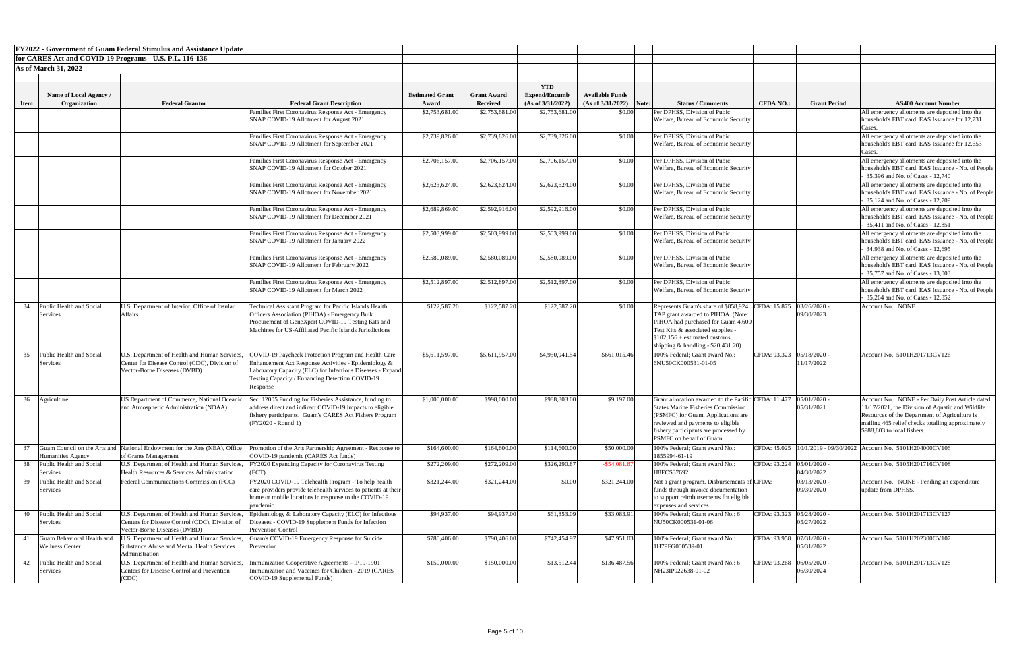|             |                                                      | <b>FY2022 - Government of Guam Federal Stimulus and Assistance Update</b>                                                      |                                                                                                                                                                                                                                           |                                 |                                       |                                           |                                                     |                                                                                                                                                                                                                                                   |                             |                            |                                                                                                                                                                                                                                           |
|-------------|------------------------------------------------------|--------------------------------------------------------------------------------------------------------------------------------|-------------------------------------------------------------------------------------------------------------------------------------------------------------------------------------------------------------------------------------------|---------------------------------|---------------------------------------|-------------------------------------------|-----------------------------------------------------|---------------------------------------------------------------------------------------------------------------------------------------------------------------------------------------------------------------------------------------------------|-----------------------------|----------------------------|-------------------------------------------------------------------------------------------------------------------------------------------------------------------------------------------------------------------------------------------|
|             |                                                      | for CARES Act and COVID-19 Programs - U.S. P.L. 116-136                                                                        |                                                                                                                                                                                                                                           |                                 |                                       |                                           |                                                     |                                                                                                                                                                                                                                                   |                             |                            |                                                                                                                                                                                                                                           |
|             | <b>As of March 31, 2022</b>                          |                                                                                                                                |                                                                                                                                                                                                                                           |                                 |                                       |                                           |                                                     |                                                                                                                                                                                                                                                   |                             |                            |                                                                                                                                                                                                                                           |
|             |                                                      |                                                                                                                                |                                                                                                                                                                                                                                           |                                 |                                       |                                           |                                                     |                                                                                                                                                                                                                                                   |                             |                            |                                                                                                                                                                                                                                           |
|             |                                                      |                                                                                                                                |                                                                                                                                                                                                                                           |                                 |                                       | <b>YTD</b>                                |                                                     |                                                                                                                                                                                                                                                   |                             |                            |                                                                                                                                                                                                                                           |
| <b>Item</b> | <b>Name of Local Agency</b><br>Organization          | <b>Federal Grantor</b>                                                                                                         | <b>Federal Grant Description</b>                                                                                                                                                                                                          | <b>Estimated Grant</b><br>Award | <b>Grant Award</b><br><b>Received</b> | <b>Expend/Encumb</b><br>(As of 3/31/2022) | <b>Available Funds</b><br>$(As of 3/31/2022)$ Note: | <b>Status / Comments</b>                                                                                                                                                                                                                          | <b>CFDA NO.:</b>            | <b>Grant Period</b>        | <b>AS400 Account Number</b>                                                                                                                                                                                                               |
|             |                                                      |                                                                                                                                | Families First Coronavirus Response Act - Emergency                                                                                                                                                                                       | \$2,753,681.00                  | \$2,753,681.00                        | \$2,753,681.00                            | \$0.00                                              | Per DPHSS, Division of Pubic                                                                                                                                                                                                                      |                             |                            | All emergency allotments are deposited into the                                                                                                                                                                                           |
|             |                                                      |                                                                                                                                | SNAP COVID-19 Allotment for August 2021                                                                                                                                                                                                   |                                 |                                       |                                           |                                                     | Welfare, Bureau of Economic Security                                                                                                                                                                                                              |                             |                            | household's EBT card. EAS Issuance for 12,731<br>Lases.                                                                                                                                                                                   |
|             |                                                      |                                                                                                                                | Families First Coronavirus Response Act - Emergency<br>SNAP COVID-19 Allotment for September 2021                                                                                                                                         | \$2,739,826.00                  | \$2,739,826.00                        | \$2,739,826.00                            | \$0.00                                              | Per DPHSS, Division of Pubic<br>Welfare, Bureau of Economic Security                                                                                                                                                                              |                             |                            | All emergency allotments are deposited into the<br>household's EBT card. EAS Issuance for 12,653                                                                                                                                          |
|             |                                                      |                                                                                                                                | Families First Coronavirus Response Act - Emergency<br>SNAP COVID-19 Allotment for October 2021                                                                                                                                           | \$2,706,157.00                  | \$2,706,157.00                        | \$2,706,157.00                            | \$0.00                                              | Per DPHSS, Division of Pubic<br>Welfare, Bureau of Economic Security                                                                                                                                                                              |                             |                            | All emergency allotments are deposited into the<br>household's EBT card. EAS Issuance - No. of People<br>$35,396$ and No. of Cases - 12,740                                                                                               |
|             |                                                      |                                                                                                                                | Families First Coronavirus Response Act - Emergency<br>SNAP COVID-19 Allotment for November 2021                                                                                                                                          | \$2,623,624.00                  | \$2,623,624.00                        | \$2,623,624.00                            | \$0.00                                              | Per DPHSS, Division of Pubic<br>Welfare, Bureau of Economic Security                                                                                                                                                                              |                             |                            | All emergency allotments are deposited into the<br>household's EBT card. EAS Issuance - No. of People<br>35,124 and No. of Cases - 12,709                                                                                                 |
|             |                                                      |                                                                                                                                | Families First Coronavirus Response Act - Emergency<br>SNAP COVID-19 Allotment for December 2021                                                                                                                                          | \$2,689,869.00                  | \$2,592,916.00                        | \$2,592,916.00                            | \$0.00                                              | Per DPHSS, Division of Pubic<br>Welfare, Bureau of Economic Security                                                                                                                                                                              |                             |                            | All emergency allotments are deposited into the<br>household's EBT card. EAS Issuance - No. of People<br>35,411 and No. of Cases - 12,851                                                                                                 |
|             |                                                      |                                                                                                                                | Families First Coronavirus Response Act - Emergency<br>SNAP COVID-19 Allotment for January 2022                                                                                                                                           | \$2,503,999.00                  | \$2,503,999.00                        | \$2,503,999.00                            | \$0.00                                              | Per DPHSS, Division of Pubic<br>Welfare, Bureau of Economic Security                                                                                                                                                                              |                             |                            | All emergency allotments are deposited into the<br>household's EBT card. EAS Issuance - No. of People<br>34.938 and No. of Cases - 12,695                                                                                                 |
|             |                                                      |                                                                                                                                | Families First Coronavirus Response Act - Emergency<br>SNAP COVID-19 Allotment for February 2022                                                                                                                                          | \$2,580,089.00                  | \$2,580,089.00                        | \$2,580,089.00                            | \$0.00                                              | Per DPHSS, Division of Pubic<br>Welfare, Bureau of Economic Security                                                                                                                                                                              |                             |                            | All emergency allotments are deposited into the<br>household's EBT card. EAS Issuance - No. of People<br>35,757 and No. of Cases - 13,003                                                                                                 |
|             |                                                      |                                                                                                                                | Families First Coronavirus Response Act - Emergency<br><b>SNAP COVID-19 Allotment for March 2022</b>                                                                                                                                      | \$2,512,897.00                  | \$2,512,897.00                        | \$2,512,897.00                            | \$0.00                                              | Per DPHSS, Division of Pubic<br>Welfare, Bureau of Economic Security                                                                                                                                                                              |                             |                            | All emergency allotments are deposited into the<br>household's EBT card. EAS Issuance - No. of People<br>35,264 and No. of Cases - 12,852                                                                                                 |
| 34          | Public Health and Social<br>Services                 | U.S. Department of Interior, Office of Insular<br>Affairs                                                                      | Technical Assistant Program for Pacific Islands Health<br>Officers Association (PIHOA) - Emergency Bulk<br>Procurement of GeneXpert COVID-19 Testing Kits and<br>Machines for US-Affiliated Pacific Islands Jurisdictions                 | \$122,587.20                    | \$122,587.20                          | \$122,587.20                              | \$0.00                                              | Represents Guam's share of \$858,924 CFDA: 15.875<br>TAP grant awarded to PIHOA. (Note:<br>PIHOA had purchased for Guam 4,600<br>Test Kits & associated supplies -<br>$$102,156 + estimated customs,$<br>shipping $&$ handling - \$20,431.20)     |                             | 03/26/2020<br>09/30/2023   | Account No.: NONE                                                                                                                                                                                                                         |
| 35          | Public Health and Social<br>Services                 | U.S. Department of Health and Human Services,<br>Center for Disease Control (CDC), Division of<br>Vector-Borne Diseases (DVBD) | COVID-19 Paycheck Protection Program and Health Care<br>Enhancement Act Response Activities - Epidemiology &<br>Laboratory Capacity (ELC) for Infectious Diseases - Expand<br>Testing Capacity / Enhancing Detection COVID-19<br>Response | \$5,611,597.00                  | \$5,611,957.00                        | \$4,950,941.54                            | \$661,015.46                                        | 100% Federal; Grant award No.:<br>6NU50CK000531-01-05                                                                                                                                                                                             | CFDA: 93.323   05/18/2020 - | 11/17/2022                 | Account No.: 5101H201713CV126                                                                                                                                                                                                             |
| 36          | Agriculture                                          | US Department of Commerce, National Oceanic<br>and Atmospheric Administration (NOAA)                                           | ec. 12005 Funding for Fisheries Assistance, funding to<br>address direct and indirect COVID-19 impacts to eligible<br>fishery participants. Guam's CARES Act Fishers Program<br>$(FY2020 - Round 1)$                                      | \$1,000,000.00                  | \$998,000.00                          | \$988,803.00                              | \$9,197.00                                          | Grant allocation awarded to the Pacific CFDA: 11.477<br><b>States Marine Fisheries Commission</b><br>(PSMFC) for Guam. Applications are<br>reviewed and payments to eligible<br>fishery participants are processed by<br>PSMFC on behalf of Guam. |                             | 05/01/2020<br>05/31/2021   | Account No.: NONE - Per Daily Post Article dated<br>11/17/2021, the Division of Aquatic and Wildlife<br>Resources of the Department of Agriculture is<br>mailing 465 relief checks totalling approximately<br>\$988,803 to local fishers. |
|             | Humanities Agency                                    | Guam Council on the Arts and National Endowment for the Arts (NEA), Office<br>of Grants Management                             | Promotion of the Arts Partnership Agreement - Response to<br>COVID-19 pandemic (CARES Act funds)                                                                                                                                          | \$164,600.00                    | \$164,600.00                          | \$114,600.00                              | \$50,000.00                                         | 100% Federal; Grant award No.<br>1855994-61-19                                                                                                                                                                                                    |                             |                            | CFDA: 45.025   10/1/2019 - 09/30/2022   Account No.: 5101H204000CV106                                                                                                                                                                     |
| 38          | Public Health and Social<br>Services                 | U.S. Department of Health and Human Services,<br>Health Resources & Services Administration                                    | FY2020 Expanding Capacity for Coronavirus Testing<br>(ECT)                                                                                                                                                                                | \$272,209.00                    | \$272,209.00                          | \$326,290.87                              | $-$ \$54,081.87                                     | 100% Federal; Grant award No.<br>H8ECS37692                                                                                                                                                                                                       | CFDA: 93.224 05/01/2020 -   | 04/30/2022                 | Account No.: 5105H201716CV108                                                                                                                                                                                                             |
| 39          | Public Health and Social<br>Services                 | Federal Communications Commission (FCC)                                                                                        | FY2020 COVID-19 Telehealth Program - To help health<br>care providers provide telehealth services to patients at their<br>home or mobile locations in response to the COVID-19<br>pandemic.                                               | \$321,244.00                    | \$321,244.00                          | \$0.00                                    | \$321,244.00                                        | Not a grant program. Disbursements of CFDA:<br>funds through invoice documentation<br>to support reimbursements for eligible<br>expenses and services.                                                                                            |                             | 03/13/2020 -<br>09/30/2020 | Account No.: NONE - Pending an expenditure<br>update from DPHSS.                                                                                                                                                                          |
| 40          | Public Health and Social<br>Services                 | Centers for Disease Control (CDC), Division of<br>Vector-Borne Diseases (DVBD)                                                 | U.S. Department of Health and Human Services, Epidemiology & Laboratory Capacity (ELC) for Infectious<br>Diseases - COVID-19 Supplement Funds for Infection<br><b>Prevention Control</b>                                                  | \$94,937.00                     | \$94,937.00                           | \$61,853.09                               | \$33,083.91                                         | 100% Federal; Grant award No.: 6<br>NU50CK000531-01-06                                                                                                                                                                                            | CFDA: 93.323   05/28/2020 - | 05/27/2022                 | Account No.: 5101H201713CV127                                                                                                                                                                                                             |
|             | Guam Behavioral Health and<br><b>Wellness Center</b> | U.S. Department of Health and Human Services,<br>Substance Abuse and Mental Health Services<br>Administration                  | Guam's COVID-19 Emergency Response for Suicide<br>Prevention                                                                                                                                                                              | \$780,406.00                    | \$790,406.00                          | \$742,454.97                              | \$47,951.03                                         | 100% Federal; Grant award No.:<br>1H79FG000539-01                                                                                                                                                                                                 | CFDA: 93.958 07/31/2020 -   | 05/31/2022                 | Account No.: 5101H202300CV107                                                                                                                                                                                                             |
|             | 42 Public Health and Social<br>Services              | U.S. Department of Health and Human Services,<br>Centers for Disease Control and Prevention<br>(CDC)                           | nmunization Cooperative Agreements - IP19-1901<br>Immunization and Vaccines for Children - 2019 (CARES<br>COVID-19 Supplemental Funds)                                                                                                    | \$150,000.00                    | \$150,000.00                          | \$13,512.44                               | \$136,487.56                                        | 100% Federal; Grant award No.: 6<br>NH23IP922638-01-02                                                                                                                                                                                            | CFDA: 93.268 06/05/2020 -   | 06/30/2024                 | Account No.: 5101H201713CV128                                                                                                                                                                                                             |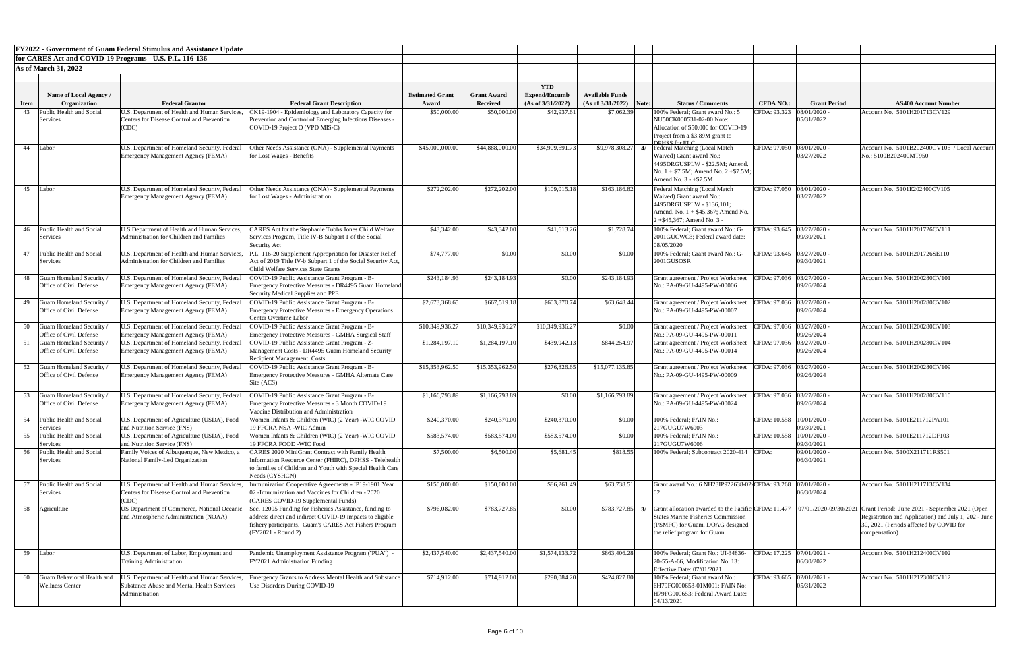|             |                                                          | <b>FY2022 - Government of Guam Federal Stimulus and Assistance Update</b>                                            |                                                                                                                                                                                                     |                        |                                       |                                           |                           |               |                                                                                                                                                                                      |                             |                                         |                                                                                                                                                                                                                                                 |
|-------------|----------------------------------------------------------|----------------------------------------------------------------------------------------------------------------------|-----------------------------------------------------------------------------------------------------------------------------------------------------------------------------------------------------|------------------------|---------------------------------------|-------------------------------------------|---------------------------|---------------|--------------------------------------------------------------------------------------------------------------------------------------------------------------------------------------|-----------------------------|-----------------------------------------|-------------------------------------------------------------------------------------------------------------------------------------------------------------------------------------------------------------------------------------------------|
|             |                                                          | for CARES Act and COVID-19 Programs - U.S. P.L. 116-136                                                              |                                                                                                                                                                                                     |                        |                                       |                                           |                           |               |                                                                                                                                                                                      |                             |                                         |                                                                                                                                                                                                                                                 |
|             | <b>As of March 31, 2022</b>                              |                                                                                                                      |                                                                                                                                                                                                     |                        |                                       |                                           |                           |               |                                                                                                                                                                                      |                             |                                         |                                                                                                                                                                                                                                                 |
|             |                                                          |                                                                                                                      |                                                                                                                                                                                                     |                        |                                       |                                           |                           |               |                                                                                                                                                                                      |                             |                                         |                                                                                                                                                                                                                                                 |
|             |                                                          |                                                                                                                      |                                                                                                                                                                                                     |                        |                                       | <b>YTD</b>                                |                           |               |                                                                                                                                                                                      |                             |                                         |                                                                                                                                                                                                                                                 |
|             | Name of Local Agency /<br>Organization                   | <b>Federal Grantor</b>                                                                                               |                                                                                                                                                                                                     | <b>Estimated Grant</b> | <b>Grant Award</b><br><b>Received</b> | <b>Expend/Encumb</b><br>(As of 3/31/2022) | <b>Available Funds</b>    |               | <b>Status / Comments</b>                                                                                                                                                             |                             | <b>Grant Period</b>                     | <b>AS400 Account Number</b>                                                                                                                                                                                                                     |
| <b>Item</b> |                                                          |                                                                                                                      | <b>Federal Grant Description</b>                                                                                                                                                                    | Award                  |                                       |                                           | $(As of 3/31/2022)$ Note: |               |                                                                                                                                                                                      | <b>CFDA NO.:</b>            |                                         |                                                                                                                                                                                                                                                 |
| 43          | Public Health and Social<br><b>Services</b>              | U.S. Department of Health and Human Services.<br><b>Centers for Disease Control and Prevention</b><br>(CDC)          | CK19-1904 - Epidemiology and Laboratory Capacity for<br>Prevention and Control of Emerging Infectious Diseases -<br>COVID-19 Project O (VPD MIS-C)                                                  | \$50,000.00            | \$50,000.00                           | \$42,937.61                               | \$7,062.39                |               | 100% Federal; Grant award No.: 5<br>NU50CK000531-02-00 Note:<br>Allocation of \$50,000 for COVID-19<br>Project from a \$3.89M grant to                                               | CFDA: 93.323                | 08/01/2020<br>05/31/2022                | Account No.: 5101H201713CV129                                                                                                                                                                                                                   |
| 44          | Labor                                                    | U.S. Department of Homeland Security, Federal<br>Emergency Management Agency (FEMA)                                  | Other Needs Assistance (ONA) - Supplemental Payments<br>for Lost Wages - Benefits                                                                                                                   | \$45,000,000.00        | \$44,888,000.00                       | \$34,909,691.73                           | \$9,978,308.27            | $\frac{4}{3}$ | DPISC for ELC<br>Federal Matching (Local Match<br>Waived) Grant award No.:<br>4495DRGUSPLW - \$22.5M; Amend.<br>No. $1 + $7.5M$ ; Amend No. $2 + $7.5M$ ;<br>Amend No. $3 - +\$7.5M$ | CFDA: 97.050 08/01/2020 -   | 03/27/2022                              | Account No.: 5101B202400CV106 / Local Account<br>No.: 5100B202400MT950                                                                                                                                                                          |
| 45          | Labor                                                    | U.S. Department of Homeland Security, Federal<br>Emergency Management Agency (FEMA)                                  | Other Needs Assistance (ONA) - Supplemental Payments<br>for Lost Wages - Administration                                                                                                             | \$272,202.00           | \$272,202.00                          | \$109,015.18                              | \$163,186.82              |               | Federal Matching (Local Match<br>Waived) Grant award No.:<br>4495DRGUSPLW - \$136,101;<br>Amend. No. $1 + $45,367$ ; Amend No.<br>$2 + $45,367$ ; Amend No. 3 -                      | CFDA: 97.050 08/01/2020 -   | 03/27/2022                              | Account No.: 5101E202400CV105                                                                                                                                                                                                                   |
| 46          | Public Health and Social<br>Services                     | U.S Department of Health and Human Services,<br>Administration for Children and Families                             | CARES Act for the Stephanie Tubbs Jones Child Welfare<br>Services Program, Title IV-B Subpart 1 of the Social<br>Security Act                                                                       | \$43,342.00            | \$43,342.00                           | \$41,613.26                               | \$1,728.74                |               | 100% Federal; Grant award No.: G-<br>2001GUCWC3; Federal award date:<br>08/05/2020                                                                                                   |                             | CFDA: 93.645 03/27/2020 -<br>09/30/2021 | Account No.: 5101H201726CV111                                                                                                                                                                                                                   |
|             | 47 Public Health and Social<br>Services                  | U.S. Department of Health and Human Services,<br><b>Administration for Children and Families</b>                     | P.L. 116-20 Supplement Appropriation for Disaster Relief<br>Act of 2019 Title IV-b Subpart 1 of the Social Security Act,<br>Child Welfare Services State Grants                                     | \$74,777.00            | \$0.00                                | \$0.00                                    | \$0.00                    |               | 100% Federal; Grant award No.: G-<br>2001GUSOSR                                                                                                                                      | CFDA: 93.645 03/27/2020 -   | 09/30/2021                              | Account No.: 5101H201726SE110                                                                                                                                                                                                                   |
|             | <b>Suam Homeland Security</b><br>Office of Civil Defense | J.S. Department of Homeland Security, Federal<br><b>Emergency Management Agency (FEMA)</b>                           | OVID-19 Public Assistance Grant Program - B-<br>Emergency Protective Measures - DR4495 Guam Homeland<br>Security Medical Supplies and PPE                                                           | \$243,184.93           | \$243,184.93                          | \$0.00                                    | \$243,184.93              |               | Grant agreement / Project Worksheet<br>No.: PA-09-GU-4495-PW-00006                                                                                                                   | CFDA: 97.036 03/27/2020 -   | 09/26/2024                              | Account No.: 5101H200280CV101                                                                                                                                                                                                                   |
| 49          | Guam Homeland Security<br>Office of Civil Defense        | J.S. Department of Homeland Security, Federal<br>Emergency Management Agency (FEMA)                                  | COVID-19 Public Assistance Grant Program - B-<br><b>Emergency Protective Measures - Emergency Operations</b><br><b>Center Overtime Labor</b>                                                        | \$2,673,368.65         | \$667,519.18                          | \$603,870.74                              | \$63,648.44               |               | Grant agreement / Project Worksheet<br>No.: PA-09-GU-4495-PW-00007                                                                                                                   | CFDA: 97.036 03/27/2020 -   | 09/26/2024                              | Account No.: 5101H200280CV102                                                                                                                                                                                                                   |
| 50          | Guam Homeland Security<br>Office of Civil Defense        | J.S. Department of Homeland Security, Federal<br>Emergency Management Agency (FEMA)                                  | COVID-19 Public Assistance Grant Program - B-<br><b>Emergency Protective Measures - GMHA Surgical Staff</b>                                                                                         | \$10,349,936.27        | \$10,349,936.27                       | \$10,349,936.27                           | \$0.00                    |               | Grant agreement / Project Worksheet<br>No.: PA-09-GU-4495-PW-00011                                                                                                                   | CFDA: 97.036 03/27/2020 -   | 09/26/2024                              | Account No.: 5101H200280CV103                                                                                                                                                                                                                   |
|             | Guam Homeland Security<br>Office of Civil Defense        | U.S. Department of Homeland Security, Federa<br>Emergency Management Agency (FEMA)                                   | 'OVID-19 Public Assistance Grant Program - Z-<br>Management Costs - DR4495 Guam Homeland Security<br><b>Recipient Management Costs</b>                                                              | \$1,284,197.10         | \$1,284,197.10                        | \$439,942.13                              | \$844,254.97              |               | Grant agreement / Project Worksheet<br>No.: PA-09-GU-4495-PW-00014                                                                                                                   | CFDA: 97.036                | 03/27/2020 -<br>09/26/2024              | Account No.: 5101H200280CV104                                                                                                                                                                                                                   |
| 52          | Juam Homeland Security<br>Office of Civil Defense        | J.S. Department of Homeland Security, Federal<br>Emergency Management Agency (FEMA)                                  | COVID-19 Public Assistance Grant Program - B-<br><b>Emergency Protective Measures - GMHA Alternate Care</b><br>Site (ACS)                                                                           | \$15,353,962.50        | \$15,353,962.50                       | \$276,826.65                              | \$15,077,135.85           |               | Grant agreement / Project Worksheet<br>No.: PA-09-GU-4495-PW-00009                                                                                                                   | CFDA: 97.036 03/27/2020 -   | 09/26/2024                              | Account No.: 5101H200280CV109                                                                                                                                                                                                                   |
| 53          | <b>Guam Homeland Security</b><br>Office of Civil Defense | J.S. Department of Homeland Security, Federal<br>Emergency Management Agency (FEMA)                                  | 'OVID-19 Public Assistance Grant Program - B-<br><b>Emergency Protective Measures - 3 Month COVID-19</b><br>Vaccine Distribution and Administration                                                 | \$1,166,793.89         | \$1,166,793.89                        | \$0.00                                    | \$1,166,793.89            |               | Grant agreement / Project Worksheet<br>No.: PA-09-GU-4495-PW-00024                                                                                                                   | CFDA: 97.036 03/27/2020 -   | 09/26/2024                              | Account No.: 5101H200280CV110                                                                                                                                                                                                                   |
| 54          | Public Health and Social<br>Services                     | U.S. Department of Agriculture (USDA), Food<br>and Nutrition Service (FNS)                                           | Women Infants & Children (WIC) (2 Year) -WIC COVID<br>19 FFCRA NSA -WIC Admin                                                                                                                       | \$240,370.00           | \$240,370.00                          | \$240,370.00                              | \$0.00                    |               | 100% Federal; FAIN No.:<br>217GUGU7W6003                                                                                                                                             | CFDA: 10.558   10/01/2020 - | 09/30/2021                              | Account No.: 5101E211712PA101                                                                                                                                                                                                                   |
| 55          | Public Health and Social<br>Services                     | U.S. Department of Agriculture (USDA), Food<br>and Nutrition Service (FNS)                                           | Women Infants & Children (WIC) (2 Year) -WIC COVID<br>19 FFCRA FOOD -WIC Food                                                                                                                       | \$583,574.00           | \$583,574.00                          | \$583,574.00                              | \$0.00                    |               | 100% Federal; FAIN No.:<br>217GUGU7W6006                                                                                                                                             | CFDA: 10.558   10/01/2020 - | 09/30/2021                              | Account No.: 5101E211712DF103                                                                                                                                                                                                                   |
|             | 56 Public Health and Social<br>Services                  | Family Voices of Albuquerque, New Mexico, a<br>National Family-Led Organization                                      | CARES 2020 MiniGrant Contract with Family Health<br>Information Resource Center (FHIRC), DPHSS - Telehealth<br>o families of Children and Youth with Special Health Care<br>Needs (CYSHCN)          | \$7,500.00             | \$6,500.00                            | \$5,681.45                                | \$818.55                  |               | 100% Federal; Subcontract 2020-414                                                                                                                                                   | CFDA:                       | 09/01/2020<br>06/30/2021                | Account No.: 5100X211711RS501                                                                                                                                                                                                                   |
| 57          | Public Health and Social<br>Services                     | U.S. Department of Health and Human Services,<br><b>Centers for Disease Control and Prevention</b><br><b>CDC</b>     | munization Cooperative Agreements - IP19-1901 Year<br>02 - Immunization and Vaccines for Children - 2020<br>(CARES COVID-19 Supplemental Funds)                                                     | \$150,000.00           | \$150,000.00                          | \$86,261.49                               | \$63,738.51               |               | Grant award No.: 6 NH23IP922638-02 CFDA: 93.268 07/01/2020 -                                                                                                                         |                             | 06/30/2024                              | Account No.: 5101H211713CV134                                                                                                                                                                                                                   |
| 58.         | Agriculture                                              | US Department of Commerce, National Oceanic<br>and Atmospheric Administration (NOAA)                                 | Sec. 12005 Funding for Fisheries Assistance, funding to<br>address direct and indirect COVID-19 impacts to eligible<br>fishery participants. Guam's CARES Act Fishers Program<br>(FY2021 - Round 2) | \$796,082.00           | \$783,727.85                          | \$0.00                                    | \$783,727.85              | $\mathbf{Z}$  | <b>States Marine Fisheries Commission</b><br>(PSMFC) for Guam. DOAG designed<br>the relief program for Guam.                                                                         |                             |                                         | Grant allocation awarded to the Pacific CFDA: 11.477   07/01/2020-09/30/2021 Grant Period: June 2021 - September 2021 (Open<br>Registration and Application) and July 1, 202 - June<br>30, 2021 (Periods affected by COVID for<br>compensation) |
|             | 59 Labor                                                 | U.S. Department of Labor, Employment and<br>Training Administration                                                  | Pandemic Unemployment Assistance Program ("PUA") -<br>FY2021 Administration Funding                                                                                                                 | \$2,437,540.00         | \$2,437,540.00                        | \$1,574,133.72                            | \$863,406.28              |               | 100% Federal; Grant No.: UI-34836-<br>20-55-A-66, Modification No. 13:<br><b>Effective Date: 07/01/2021</b>                                                                          |                             | CFDA: 17.225 07/01/2021 -<br>06/30/2022 | Account No.: 5101H212400CV102                                                                                                                                                                                                                   |
| 60          | Guam Behavioral Health and<br><b>Wellness Center</b>     | J.S. Department of Health and Human Services.<br><b>Substance Abuse and Mental Health Services</b><br>Administration | mergency Grants to Address Mental Health and Substance<br>Use Disorders During COVID-19                                                                                                             | \$714,912.00           | \$714,912.00                          | \$290,084.20                              | \$424,827.80              |               | 100% Federal; Grant award No.:<br>6H79FG000653-01M001: FAIN No:<br>H79FG000653; Federal Award Date:<br>04/13/2021                                                                    |                             | CFDA: 93.665 02/01/2021 -<br>05/31/2022 | Account No.: 5101H212300CV112                                                                                                                                                                                                                   |

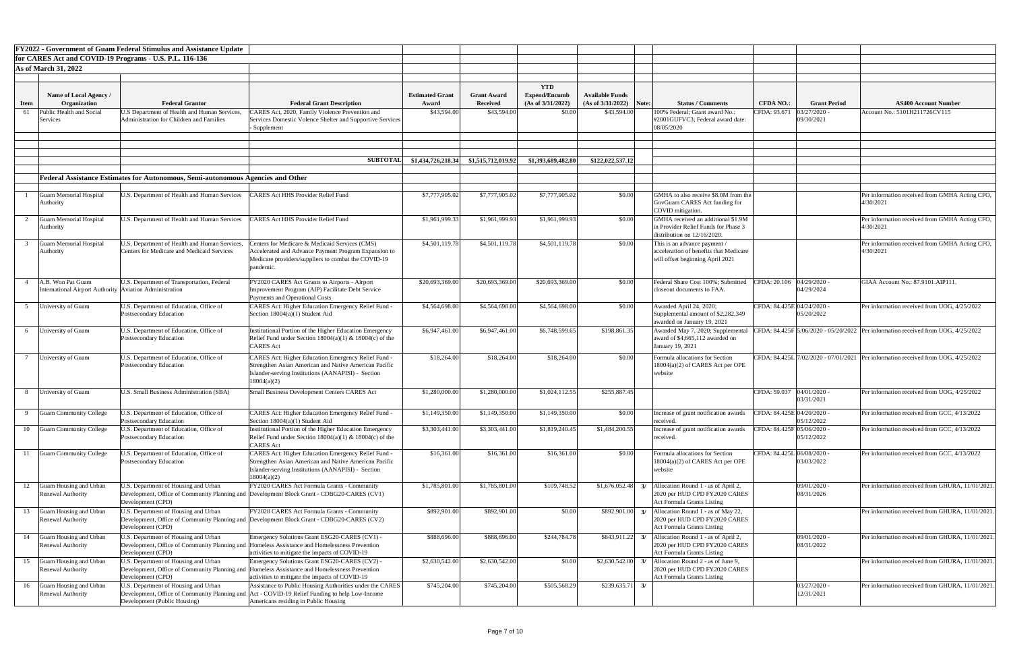|             |                                                                                | <b>FY2022 - Government of Guam Federal Stimulus and Assistance Update</b>                                             |                                                                                                                                                                                                  |                                 |                                       |                                                         |                                                      |                                                                                                                           |                                              |                                                                            |
|-------------|--------------------------------------------------------------------------------|-----------------------------------------------------------------------------------------------------------------------|--------------------------------------------------------------------------------------------------------------------------------------------------------------------------------------------------|---------------------------------|---------------------------------------|---------------------------------------------------------|------------------------------------------------------|---------------------------------------------------------------------------------------------------------------------------|----------------------------------------------|----------------------------------------------------------------------------|
|             |                                                                                | for CARES Act and COVID-19 Programs - U.S. P.L. 116-136                                                               |                                                                                                                                                                                                  |                                 |                                       |                                                         |                                                      |                                                                                                                           |                                              |                                                                            |
|             | <b>As of March 31, 2022</b>                                                    |                                                                                                                       |                                                                                                                                                                                                  |                                 |                                       |                                                         |                                                      |                                                                                                                           |                                              |                                                                            |
| <b>Item</b> | Name of Local Agency /<br>Organization                                         | <b>Federal Grantor</b>                                                                                                | <b>Federal Grant Description</b>                                                                                                                                                                 | <b>Estimated Grant</b><br>Award | <b>Grant Award</b><br><b>Received</b> | <b>YTD</b><br><b>Expend/Encumb</b><br>(As of 3/31/2022) | <b>Available Funds</b><br>(As of 3/31/2022)<br>Note: | <b>Status / Comments</b>                                                                                                  | <b>Grant Period</b><br><b>CFDA NO.:</b>      | <b>AS400 Account Number</b>                                                |
| 61          | Public Health and Social<br>Services                                           | J.S Department of Health and Human Services,<br>Administration for Children and Families                              | CARES Act, 2020, Family Violence Prevention and<br>Services Domestic Volence Shelter and Supportive Services<br>- Supplement                                                                     | \$43,594.00                     | \$43,594.00                           | \$0.00                                                  | \$43,594.00                                          | 100% Federal; Grant award No.:<br>#2001GUFVC3; Federal award date:<br>08/05/2020                                          | $03/27/2020$ .<br>CFDA: 93.671<br>09/30/2021 | Account No.: 5101H211726CV115                                              |
|             |                                                                                |                                                                                                                       | <b>SUBTOTAL</b>                                                                                                                                                                                  | \$1,434,726,218.34              | \$1,515,712,019.92                    | \$1,393,689,482.80                                      | \$122,022,537.12                                     |                                                                                                                           |                                              |                                                                            |
|             |                                                                                | <b>Federal Assistance Estimates for Autonomous, Semi-autonomous Agencies and Other</b>                                |                                                                                                                                                                                                  |                                 |                                       |                                                         |                                                      |                                                                                                                           |                                              |                                                                            |
|             | <b>Guam Memorial Hospital</b><br>Authority                                     | J.S. Department of Health and Human Services                                                                          | CARES Act HHS Provider Relief Fund                                                                                                                                                               | \$7,777,905.02                  | \$7,777,905.02                        | \$7,777,905.02                                          | \$0.00                                               | GMHA to also receive \$8.0M from the<br>GovGuam CARES Act funding for<br>COVID mitigation.                                |                                              | Per information received from GMHA<br>4/30/2021                            |
|             | <b>Guam Memorial Hospital</b><br>Authority                                     | J.S. Department of Health and Human Services                                                                          | <b>CARES Act HHS Provider Relief Fund</b>                                                                                                                                                        | \$1,961,999.33                  | \$1,961,999.93                        | \$1,961,999.93                                          | \$0.00                                               | GMHA received an additional \$1.9M<br>in Provider Relief Funds for Phase 3<br>distribution on 12/16/2020.                 |                                              | Per information received from GMHA<br>4/30/2021                            |
|             | <b>Guam Memorial Hospital</b><br>Authority                                     | J.S. Department of Health and Human Services,<br><b>Centers for Medicare and Medicaid Services</b>                    | Centers for Medicare & Medicaid Services (CMS)<br>Accelerated and Advance Payment Program Expansion to<br>Medicare providers/suppliers to combat the COVID-19<br>pandemic                        | \$4,501,119.78                  | \$4,501,119.78                        | \$4,501,119.78                                          | \$0.00                                               | This is an advance payment /<br>acceleration of benefits that Medicare<br>will offset beginning April 2021                |                                              | Per information received from GMHA<br>4/30/2021                            |
|             | A.B. Won Pat Guam<br>International Airport Authority   Aviation Administration | U.S. Department of Transportation, Federal                                                                            | FY2020 CARES Act Grants to Airports - Airport<br>Improvement Program (AIP) Facilitate Debt Service<br>Payments and Operational Costs                                                             | \$20,693,369.00                 | \$20,693,369.00                       | \$20,693,369.00                                         | \$0.00                                               | Federal Share Cost 100%; Submitted<br>closeout documents to FAA                                                           | CFDA: 20.106 04/29/2020 -<br>04/29/2024      | GIAA Account No.: 87.9101.AIP111.                                          |
|             | University of Guam                                                             | J.S. Department of Education, Office of<br><b>Postsecondary Education</b>                                             | CARES Act: Higher Education Emergency Relief Fund -<br>Section $18004(a)(1)$ Student Aid                                                                                                         | \$4,564,698.00                  | \$4,564,698.00                        | \$4,564,698.00                                          | \$0.00                                               | Awarded April 24, 2020;<br>Supplemental amount of \$2,282,349<br>awarded on January 19, 2021                              | CFDA: 84.425E 04/24/2020 -<br>05/20/2022     | Per information received from UOG, 4/                                      |
| 6           | University of Guam                                                             | J.S. Department of Education, Office of<br><b>Postsecondary Education</b>                                             | Institutional Portion of the Higher Education Emergency<br>Relief Fund under Section $18004(a)(1)$ & $18004(c)$ of the<br><b>CARES</b> Act                                                       | \$6,947,461.00                  | \$6,947,461.00                        | \$6,748,599.65                                          | \$198,861.35                                         | Awarded May 7, 2020; Supplemental<br>award of \$4,665,112 awarded on<br>January 19, 2021                                  |                                              | CFDA: 84.425F 5/06/2020 - 05/20/2022 Per information received from UOG, 4/ |
|             | University of Guam                                                             | J.S. Department of Education, Office of<br>Postsecondary Education                                                    | <b>CARES Act: Higher Education Emergency Relief Fund -</b><br>Strengthen Asian American and Native American Pacific<br>Islander-serving Institutions (AANAPISI) - Section<br>18004(a)(2)         | \$18,264.00                     | \$18,264.00                           | \$18,264.00                                             | \$0.00                                               | Formula allocations for Section<br>$18004(a)(2)$ of CARES Act per OPE<br>website                                          |                                              | CFDA: 84.425L 7/02/2020 - 07/01/2021 Per information received from UOG, 4/ |
|             | University of Guam                                                             | <b>J.S. Small Business Administration (SBA)</b>                                                                       | Small Business Development Centers CARES Act                                                                                                                                                     | \$1,280,000.00                  | \$1,280,000.00                        | \$1,024,112.55                                          | \$255,887.45                                         |                                                                                                                           | CFDA: 59.037 04/01/2020 -<br>03/31/2021      | Per information received from UOG, 4/                                      |
|             | <b>Guam Community College</b>                                                  | J.S. Department of Education, Office of<br>Postsecondary Education                                                    | CARES Act: Higher Education Emergency Relief Fund -<br>Section $18004(a)(1)$ Student Aid                                                                                                         | \$1,149,350.00                  | \$1,149,350.00                        | \$1,149,350.00                                          | \$0.00                                               | Increase of grant notification awards<br>received                                                                         | CFDA: 84.425E 04/20/2020 -<br>05/12/2022     | Per information received from GCC, 4/                                      |
|             | <b>Guam Community College</b>                                                  | J.S. Department of Education, Office of<br>Postsecondary Education                                                    | Institutional Portion of the Higher Education Emergency<br>Relief Fund under Section $18004(a)(1)$ & $18004(c)$ of the<br><b>CARES</b> Act                                                       | \$3,303,441.00                  | \$3,303,441.00                        | \$1,819,240.45                                          | \$1,484,200.55                                       | Increase of grant notification awards<br>received.                                                                        | CFDA: 84.425F 05/06/2020 -<br>05/12/2022     | Per information received from GCC, 4/                                      |
|             | Guam Community College                                                         | J.S. Department of Education, Office of<br><b>Postsecondary Education</b>                                             | <b>CARES Act: Higher Education Emergency Relief Fund -</b><br>Strengthen Asian American and Native American Pacific<br>Islander-serving Institutions (AANAPISI) - Section<br>18004(a)(2)         | \$16,361.00                     | \$16,361.00                           | \$16,361.00                                             | \$0.00                                               | Formula allocations for Section<br>$18004(a)(2)$ of CARES Act per OPE<br>website                                          | CFDA: 84.425L 06/08/2020 -<br>03/03/2022     | Per information received from GCC, 4/                                      |
|             | <b>Guam Housing and Urban</b><br><b>Renewal Authority</b>                      | J.S. Department of Housing and Urban<br>Development (CPD)                                                             | FY2020 CARES Act Formula Grants - Community<br>Development, Office of Community Planning and Development Block Grant - CDBG20-CARES (CV1)                                                        | \$1,785,801.00                  | \$1,785,801.00                        | \$109,748.52                                            | \$1,676,052.48                                       | Allocation Round 1 - as of April 2,<br>2020 per HUD CPD FY2020 CARES<br><b>Act Formula Grants Listing</b>                 | $09/01/2020$ .<br>08/31/2026                 | Per information received from GHURA                                        |
|             | 13 Guam Housing and Urban<br><b>Renewal Authority</b>                          | U.S. Department of Housing and Urban<br>Development (CPD)                                                             | FY2020 CARES Act Formula Grants - Community<br>Development, Office of Community Planning and Development Block Grant - CDBG20-CARES (CV2)                                                        | \$892,901.00                    | \$892,901.00                          | \$0.00                                                  |                                                      | $$892,901.00$ 3/ Allocation Round 1 - as of May 22,<br>2020 per HUD CPD FY2020 CARES<br><b>Act Formula Grants Listing</b> |                                              | Per information received from GHURA                                        |
|             | Guam Housing and Urban<br><b>Renewal Authority</b>                             | <b>J.S. Department of Housing and Urban</b><br>Development (CPD)                                                      | Emergency Solutions Grant ESG20-CARES (CV1) -<br>Development, Office of Community Planning and Homeless Assistance and Homelessness Prevention<br>activities to mitigate the impacts of COVID-19 | \$888,696.00                    | \$888,696.00                          | \$244,784.78                                            | \$643,911.22                                         | Allocation Round 1 - as of April 2,<br>2020 per HUD CPD FY2020 CARES<br><b>Act Formula Grants Listing</b>                 | 09/01/2020 -<br>08/31/2022                   | Per information received from GHURA                                        |
|             | Guam Housing and Urban<br><b>Renewal Authority</b>                             | J.S. Department of Housing and Urban<br>Development (CPD)                                                             | Emergency Solutions Grant ESG20-CARES (CV2) -<br>Development, Office of Community Planning and Homeless Assistance and Homelessness Prevention<br>activities to mitigate the impacts of COVID-19 | \$2,630,542.00                  | \$2,630,542.00                        | \$0.00                                                  | \$2,630,542.00                                       | Allocation Round 2 - as of June 9,<br>2020 per HUD CPD FY2020 CARES<br><b>Act Formula Grants Listing</b>                  |                                              | Per information received from GHURA                                        |
| 16          | Guam Housing and Urban<br>Renewal Authority                                    | J.S. Department of Housing and Urban<br>Development, Office of Community Planning and<br>Development (Public Housing) | Assistance to Public Housing Authorities under the CARES<br>Act - COVID-19 Relief Funding to help Low-Income<br>Americans residing in Public Housing                                             | \$745,204.00                    | \$745,204.00                          | \$505,568.29                                            | \$239,635.71                                         |                                                                                                                           | 03/27/2020 -<br>12/31/2021                   | Per information received from GHURA                                        |

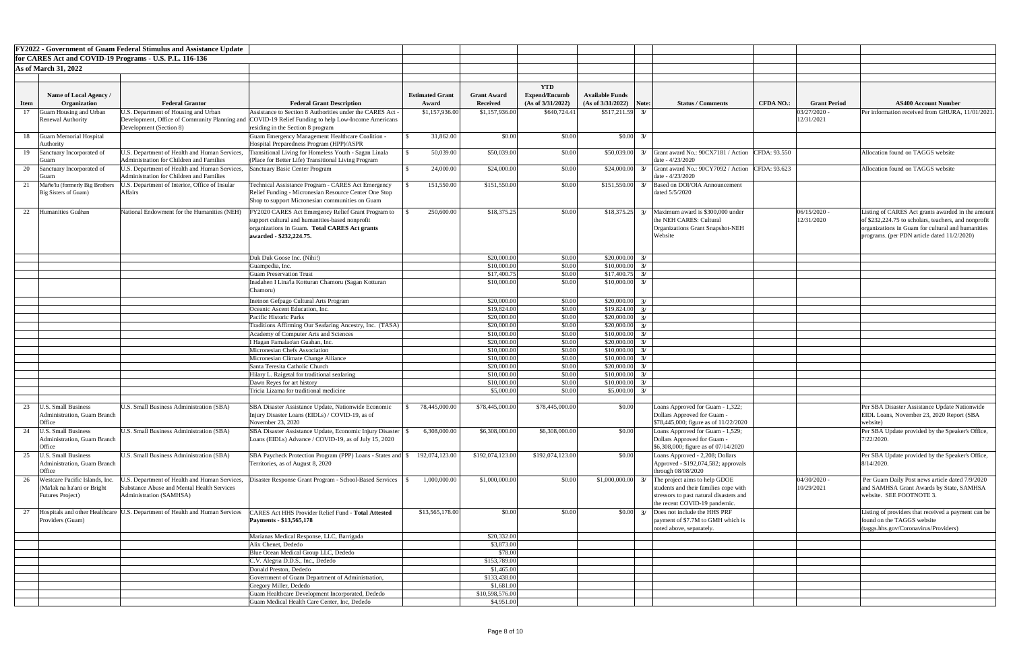| <b>FY2022 - Government of Guam Federal Stimulus and Assistance Update</b><br>for CARES Act and COVID-19 Programs - U.S. P.L. 116-136 |                                                                     |                                                                                                  |                                                                                                                                               |                        |                           |                      |                            |                                                                                                            |                  |                              |                                                                                                          |
|--------------------------------------------------------------------------------------------------------------------------------------|---------------------------------------------------------------------|--------------------------------------------------------------------------------------------------|-----------------------------------------------------------------------------------------------------------------------------------------------|------------------------|---------------------------|----------------------|----------------------------|------------------------------------------------------------------------------------------------------------|------------------|------------------------------|----------------------------------------------------------------------------------------------------------|
|                                                                                                                                      |                                                                     |                                                                                                  |                                                                                                                                               |                        |                           |                      |                            |                                                                                                            |                  |                              |                                                                                                          |
|                                                                                                                                      | <b>As of March 31, 2022</b>                                         |                                                                                                  |                                                                                                                                               |                        |                           |                      |                            |                                                                                                            |                  |                              |                                                                                                          |
|                                                                                                                                      |                                                                     |                                                                                                  |                                                                                                                                               |                        |                           | <b>YTD</b>           |                            |                                                                                                            |                  |                              |                                                                                                          |
|                                                                                                                                      | Name of Local Agency /                                              |                                                                                                  |                                                                                                                                               | <b>Estimated Grant</b> | <b>Grant Award</b>        | <b>Expend/Encumb</b> | <b>Available Funds</b>     |                                                                                                            |                  |                              |                                                                                                          |
| <b>Item</b>                                                                                                                          | <b>Organization</b>                                                 | <b>Federal Grantor</b>                                                                           | <b>Federal Grant Description</b><br>Assistance to Section 8 Authorities under the CARES Act                                                   | Award                  | <b>Received</b>           | (As of 3/31/2022)    | (As of 3/31/2022)          | Note:<br><b>Status / Comments</b>                                                                          | <b>CFDA NO.:</b> | <b>Grant Period</b>          | <b>AS400 Account Number</b>                                                                              |
|                                                                                                                                      | Juam Housing and Urban<br><b>Renewal Authority</b>                  | J.S. Department of Housing and Urban                                                             | Development, Office of Community Planning and COVID-19 Relief Funding to help Low-Income Americans                                            | \$1,157,936.00         | \$1,157,936.00            | \$640,724.4          | $$517,211.59$ 3/           |                                                                                                            |                  | $03/27/2020$ -<br>12/31/2021 | Per information received from GHURA, 11/01/202                                                           |
|                                                                                                                                      |                                                                     | Development (Section 8)                                                                          | residing in the Section 8 program                                                                                                             |                        |                           |                      |                            |                                                                                                            |                  |                              |                                                                                                          |
|                                                                                                                                      | Guam Memorial Hospital<br>Authority                                 |                                                                                                  | <b>Guam Emergency Management Healthcare Coalition -</b><br>Hospital Preparedness Program (HPP)/ASPR                                           | 31,862.00              | \$0.00                    | \$0.00               | $$0.00\,$ 3/               |                                                                                                            |                  |                              |                                                                                                          |
|                                                                                                                                      | Sanctuary Incorporated of                                           | J.S. Department of Health and Human Services,<br><b>Administration for Children and Families</b> | Transitional Living for Homeless Youth - Sagan Linala<br>(Place for Better Life) Transitional Living Program                                  | 50,039.00              | \$50,039.00               | \$0.00               | \$50,039.00                | $3/$ Grant award No.: 90CX7181 / Action CFDA: 93.550<br>date - 4/23/2020                                   |                  |                              | Allocation found on TAGGS website                                                                        |
|                                                                                                                                      | Sanctuary Incorporated of                                           | U.S. Department of Health and Human Services,<br><b>Administration for Children and Families</b> | Sanctuary Basic Center Program                                                                                                                | 24,000.00              | \$24,000.00               | \$0.00               | \$24,000.00                | 3/ Grant award No.: 90CY7092 / Action CFDA: 93.623<br>date - 4/23/2020                                     |                  |                              | Allocation found on TAGGS website                                                                        |
| 21                                                                                                                                   | Mañe'lu (formerly Big Brothers                                      | J.S. Department of Interior, Office of Insular                                                   | Technical Assistance Program - CARES Act Emergency                                                                                            | 151,550.00             | \$151,550.00              | \$0.00               | \$151,550.00               | Based on DOI/OIA Announcement                                                                              |                  |                              |                                                                                                          |
|                                                                                                                                      | Big Sisters of Guam)                                                | Affairs                                                                                          | Relief Funding - Micronesian Resource Center One Stop                                                                                         |                        |                           |                      |                            | dated 5/5/2020                                                                                             |                  |                              |                                                                                                          |
|                                                                                                                                      |                                                                     |                                                                                                  | Shop to support Micronesian communities on Guam                                                                                               |                        |                           |                      |                            |                                                                                                            |                  |                              |                                                                                                          |
| 22                                                                                                                                   | Humanities Guåhan                                                   | National Endowment for the Humanities (NEH)                                                      | Y2020 CARES Act Emergency Relief Grant Program to                                                                                             | 250,600.00             | \$18,375.25               | \$0.00               | \$18,375.25                | 3/ Maximum award is \$300,000 under<br>the NEH CARES: Cultural                                             |                  | $06/15/2020$ -<br>12/31/2020 | Listing of CARES Act grants awarded in the amou                                                          |
|                                                                                                                                      |                                                                     |                                                                                                  | support cultural and humanities-based nonprofit<br>organizations in Guam. Total CARES Act grants                                              |                        |                           |                      |                            | Organizations Grant Snapshot-NEH                                                                           |                  |                              | of \$232,224.75 to scholars, teachers, and nonprofi<br>organizations in Guam for cultural and humanities |
|                                                                                                                                      |                                                                     |                                                                                                  | awarded - \$232,224.75.                                                                                                                       |                        |                           |                      |                            | Website                                                                                                    |                  |                              | programs. (per PDN article dated 11/2/2020)                                                              |
|                                                                                                                                      |                                                                     |                                                                                                  |                                                                                                                                               |                        |                           |                      |                            |                                                                                                            |                  |                              |                                                                                                          |
|                                                                                                                                      |                                                                     |                                                                                                  | Duk Duk Goose Inc. (Nihi!)                                                                                                                    |                        | \$20,000.00               | \$0.00               | \$20,000.00                | 3/                                                                                                         |                  |                              |                                                                                                          |
|                                                                                                                                      |                                                                     |                                                                                                  | Guampedia, Inc.                                                                                                                               |                        | \$10,000.0                | \$0.00               | \$10,000.00                | 3/                                                                                                         |                  |                              |                                                                                                          |
|                                                                                                                                      |                                                                     |                                                                                                  | <b>Guam Preservation Trust</b>                                                                                                                |                        | \$17,400.75               | \$0.00               | $$17,400.75$ 3/            |                                                                                                            |                  |                              |                                                                                                          |
|                                                                                                                                      |                                                                     |                                                                                                  | Inadahen I Lina'la Kotturan Chamoru (Sagan Kotturan                                                                                           |                        | \$10,000.00               | \$0.00               | \$10,000.00                | 3/                                                                                                         |                  |                              |                                                                                                          |
|                                                                                                                                      |                                                                     |                                                                                                  | Chamoru)                                                                                                                                      |                        |                           |                      |                            |                                                                                                            |                  |                              |                                                                                                          |
|                                                                                                                                      |                                                                     |                                                                                                  | Inetnon Gefpago Cultural Arts Program                                                                                                         |                        | \$20,000.00               | \$0.00               | $$20,000.00$ 3/            |                                                                                                            |                  |                              |                                                                                                          |
|                                                                                                                                      |                                                                     |                                                                                                  | Oceanic Ascent Education, Inc.<br>Pacific Historic Parks                                                                                      |                        | \$19,824.00<br>\$20,000.0 | \$0.00<br>\$0.00     | \$19,824.00<br>\$20,000.00 | 3/<br>3/                                                                                                   |                  |                              |                                                                                                          |
|                                                                                                                                      |                                                                     |                                                                                                  | Traditions Affirming Our Seafaring Ancestry, Inc. (TASA)                                                                                      |                        | \$20,000.0                | \$0.00               | \$20,000.00                | 3/                                                                                                         |                  |                              |                                                                                                          |
|                                                                                                                                      |                                                                     |                                                                                                  | <b>Academy of Computer Arts and Sciences</b>                                                                                                  |                        | \$10,000.00               | \$0.00               | \$10,000.00                | 3/                                                                                                         |                  |                              |                                                                                                          |
|                                                                                                                                      |                                                                     |                                                                                                  | I Hagan Famalao'an Guahan, Inc.                                                                                                               |                        | \$20,000.00               | \$0.00               | \$20,000.00                | 3/                                                                                                         |                  |                              |                                                                                                          |
|                                                                                                                                      |                                                                     |                                                                                                  | Micronesian Chefs Association                                                                                                                 |                        | \$10,000.00               | \$0.00               | \$10,000.00                | 3/                                                                                                         |                  |                              |                                                                                                          |
|                                                                                                                                      |                                                                     |                                                                                                  | Micronesian Climate Change Alliance<br>Santa Teresita Catholic Church                                                                         |                        | \$10,000.0<br>\$20,000.00 | \$0.00<br>\$0.00     | \$10,000.00<br>\$20,000.00 | 3/<br>3/                                                                                                   |                  |                              |                                                                                                          |
|                                                                                                                                      |                                                                     |                                                                                                  | Hilary L. Raigetal for traditional seafaring                                                                                                  |                        | \$10,000.00               | \$0.00               | \$10,000.00                | 3/                                                                                                         |                  |                              |                                                                                                          |
|                                                                                                                                      |                                                                     |                                                                                                  | Dawn Reyes for art history                                                                                                                    |                        | \$10,000.00               | \$0.00               | \$10,000.00                | 3/                                                                                                         |                  |                              |                                                                                                          |
|                                                                                                                                      |                                                                     |                                                                                                  | Tricia Lizama for traditional medicine                                                                                                        |                        | \$5,000.0                 | \$0.00               | \$5,000.00                 | 3/                                                                                                         |                  |                              |                                                                                                          |
|                                                                                                                                      |                                                                     |                                                                                                  |                                                                                                                                               |                        |                           |                      |                            |                                                                                                            |                  |                              |                                                                                                          |
| 23                                                                                                                                   | J.S. Small Business<br><b>Administration, Guam Branch</b><br>Office | <b>J.S. Small Business Administration (SBA)</b>                                                  | SBA Disaster Assistance Update, Nationwide Economic<br>Injury Disaster Loans (EIDLs) / COVID-19, as of<br>November 23, 2020                   | 78,445,000.00          | \$78,445,000.00           | \$78,445,000.00      | \$0.00                     | Loans Approved for Guam - 1,322;<br>Dollars Approved for Guam<br>$$78,445,000$ ; figure as of $11/22/2020$ |                  |                              | Per SBA Disaster Assistance Update Nationwide<br>EIDL Loans, November 23, 2020 Report (SBA<br>website)   |
| 24                                                                                                                                   | J.S. Small Business                                                 | <b>U.S. Small Business Administration (SBA)</b>                                                  | SBA Disaster Assistance Update, Economic Injury Disaster                                                                                      | 6,308,000.00           | \$6,308,000.00            | \$6,308,000.00       | \$0.00                     | Loans Approved for Guam - 1,529;                                                                           |                  |                              | Per SBA Update provided by the Speaker's Office,                                                         |
|                                                                                                                                      | Administration, Guam Branch<br>Office                               |                                                                                                  | Loans (EIDLs) Advance / COVID-19, as of July 15, 2020                                                                                         |                        |                           |                      |                            | Dollars Approved for Guam -<br>\$6,308,000; figure as of 07/14/2020                                        |                  |                              | 7/22/2020.                                                                                               |
| 25                                                                                                                                   | J.S. Small Business                                                 | U.S. Small Business Administration (SBA)                                                         | SBA Paycheck Protection Program (PPP) Loans - States and \$                                                                                   | 192,074,123.00         | \$192,074,123.00          | \$192,074,123.00     | \$0.00                     | Loans Approved - 2,208; Dollars                                                                            |                  |                              | Per SBA Update provided by the Speaker's Office,                                                         |
|                                                                                                                                      | Administration, Guam Branch<br>Office                               |                                                                                                  | Territories, as of August 8, 2020                                                                                                             |                        |                           |                      |                            | Approved - \$192,074,582; approvals<br>through $08/08/2020$                                                |                  |                              | $8/14/2020$ .                                                                                            |
| 26                                                                                                                                   | Westcare Pacific Islands, Inc.                                      | J.S. Department of Health and Human Services,                                                    | Disaster Response Grant Program - School-Based Services                                                                                       | 1,000,000.00           | \$1,000,000.00            | \$0.00               | \$1,000,000.00             | The project aims to help GDOE                                                                              |                  | $04/30/2020$ -               | Per Guam Daily Post news article dated 7/9/2020                                                          |
|                                                                                                                                      | (Ma'lak na ha'ani or Bright                                         | <b>Substance Abuse and Mental Health Services</b><br>Administration (SAMHSA)                     |                                                                                                                                               |                        |                           |                      |                            | students and their families cope with                                                                      |                  | 10/29/2021                   | and SAMHSA Grant Awards by State, SAMHSA<br>website. SEE FOOTNOTE 3.                                     |
|                                                                                                                                      | <b>Futures Project</b> )                                            |                                                                                                  |                                                                                                                                               |                        |                           |                      |                            | stressors to past natural disasters and<br>the recent COVID-19 pandemic.                                   |                  |                              |                                                                                                          |
|                                                                                                                                      |                                                                     |                                                                                                  | Hospitals and other Healthcare <i>U.S.</i> Department of Health and Human Services <i>CARES Act HHS Provider Relief Fund - Total Attested</i> | \$13,565,178.00        | \$0.00                    | \$0.00               |                            | $\vert 0.00 \vert$ 3/ $\vert$ Does not include the HHS PRF                                                 |                  |                              | Listing of providers that received a payment can b                                                       |
|                                                                                                                                      | Providers (Guam)                                                    |                                                                                                  | Payments - \$13,565,178                                                                                                                       |                        |                           |                      |                            | payment of \$7.7M to GMH which is                                                                          |                  |                              | found on the TAGGS website                                                                               |
|                                                                                                                                      |                                                                     |                                                                                                  |                                                                                                                                               |                        |                           |                      |                            | noted above, separately.                                                                                   |                  |                              | $(\text{tags.hhs.gov/Coronavirus/Providers})$                                                            |
|                                                                                                                                      |                                                                     |                                                                                                  | Marianas Medical Response, LLC, Barrigada                                                                                                     |                        | \$20,332.00               |                      |                            |                                                                                                            |                  |                              |                                                                                                          |
|                                                                                                                                      |                                                                     |                                                                                                  | Alix Chenet, Dededo<br>Blue Ocean Medical Group LLC, Dededo                                                                                   |                        | \$3,873.00<br>\$78.00     |                      |                            |                                                                                                            |                  |                              |                                                                                                          |
|                                                                                                                                      |                                                                     |                                                                                                  | C.V. Alegria D.D.S., Inc., Dededo                                                                                                             |                        | \$153,789.00              |                      |                            |                                                                                                            |                  |                              |                                                                                                          |
|                                                                                                                                      |                                                                     |                                                                                                  | Donald Preston, Dededo                                                                                                                        |                        | \$1,465.00                |                      |                            |                                                                                                            |                  |                              |                                                                                                          |
|                                                                                                                                      |                                                                     |                                                                                                  | Government of Guam Department of Administration,                                                                                              |                        | \$133,438.00              |                      |                            |                                                                                                            |                  |                              |                                                                                                          |
|                                                                                                                                      |                                                                     |                                                                                                  | Gregory Miller, Dededo                                                                                                                        |                        | \$1,681.00                |                      |                            |                                                                                                            |                  |                              |                                                                                                          |
|                                                                                                                                      |                                                                     |                                                                                                  | Guam Healthcare Development Incorporated, Dededo                                                                                              |                        | \$10,598,576.00           |                      |                            |                                                                                                            |                  |                              |                                                                                                          |
|                                                                                                                                      |                                                                     |                                                                                                  | Guam Medical Health Care Center, Inc, Dededo                                                                                                  |                        | \$4,951.00                |                      |                            |                                                                                                            |                  |                              |                                                                                                          |

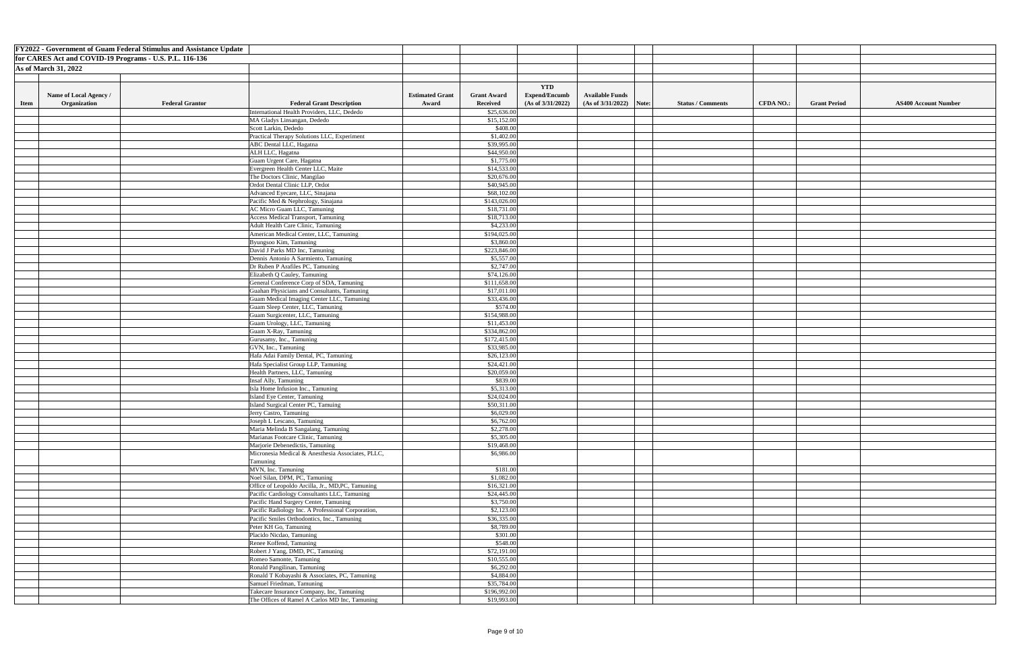|                                                         |                             | <b>FY2022 - Government of Guam Federal Stimulus and Assistance Update</b> |                                                                  |                        |                           |                      |                            |                          |                  |                     |                             |
|---------------------------------------------------------|-----------------------------|---------------------------------------------------------------------------|------------------------------------------------------------------|------------------------|---------------------------|----------------------|----------------------------|--------------------------|------------------|---------------------|-----------------------------|
| for CARES Act and COVID-19 Programs - U.S. P.L. 116-136 |                             |                                                                           |                                                                  |                        |                           |                      |                            |                          |                  |                     |                             |
|                                                         | <b>As of March 31, 2022</b> |                                                                           |                                                                  |                        |                           |                      |                            |                          |                  |                     |                             |
|                                                         |                             |                                                                           |                                                                  |                        |                           |                      |                            |                          |                  |                     |                             |
|                                                         |                             |                                                                           |                                                                  |                        |                           | <b>YTD</b>           |                            |                          |                  |                     |                             |
|                                                         | Name of Local Agency /      |                                                                           |                                                                  | <b>Estimated Grant</b> | <b>Grant Award</b>        | <b>Expend/Encumb</b> | <b>Available Funds</b>     |                          |                  |                     |                             |
| <b>Item</b>                                             | Organization                | <b>Federal Grantor</b>                                                    | <b>Federal Grant Description</b>                                 | Award                  | <b>Received</b>           | (As of 3/31/2022)    | (As of $3/31/2022$ ) Note: | <b>Status / Comments</b> | <b>CFDA NO.:</b> | <b>Grant Period</b> | <b>AS400 Account Number</b> |
|                                                         |                             |                                                                           | International Health Providers, LLC, Dededo                      |                        | \$25,636.00               |                      |                            |                          |                  |                     |                             |
|                                                         |                             |                                                                           | MA Gladys Linsangan, Dededo                                      |                        | \$15,152.00               |                      |                            |                          |                  |                     |                             |
|                                                         |                             |                                                                           | Scott Larkin, Dededo                                             |                        | \$408.00                  |                      |                            |                          |                  |                     |                             |
|                                                         |                             |                                                                           | Practical Therapy Solutions LLC, Experiment                      |                        | \$1,402.00                |                      |                            |                          |                  |                     |                             |
|                                                         |                             |                                                                           | ABC Dental LLC, Hagatna                                          |                        | \$39,995.00               |                      |                            |                          |                  |                     |                             |
|                                                         |                             |                                                                           | ALH LLC, Hagatna                                                 |                        | \$44,950.00               |                      |                            |                          |                  |                     |                             |
|                                                         |                             |                                                                           | Guam Urgent Care, Hagatna                                        |                        | \$1,775.00                |                      |                            |                          |                  |                     |                             |
|                                                         |                             |                                                                           | Evergreen Health Center LLC, Maite                               |                        | \$14,533.00               |                      |                            |                          |                  |                     |                             |
|                                                         |                             |                                                                           | The Doctors Clinic, Mangilao                                     |                        | \$20,676.00               |                      |                            |                          |                  |                     |                             |
|                                                         |                             |                                                                           | Ordot Dental Clinic LLP, Ordot                                   |                        | \$40,945.00               |                      |                            |                          |                  |                     |                             |
|                                                         |                             |                                                                           | Advanced Eyecare, LLC, Sinajana                                  |                        | \$68,102.00               |                      |                            |                          |                  |                     |                             |
|                                                         |                             |                                                                           | Pacific Med & Nephrology, Sinajana                               |                        | \$143,026.00              |                      |                            |                          |                  |                     |                             |
|                                                         |                             |                                                                           | <b>AC Micro Guam LLC, Tamuning</b>                               |                        | \$18,731.00               |                      |                            |                          |                  |                     |                             |
|                                                         |                             |                                                                           | <b>Access Medical Transport, Tamuning</b>                        |                        | \$18,713.00               |                      |                            |                          |                  |                     |                             |
|                                                         |                             |                                                                           | Adult Health Care Clinic, Tamuning                               |                        | \$4,233.00                |                      |                            |                          |                  |                     |                             |
|                                                         |                             |                                                                           | American Medical Center, LLC, Tamuning                           |                        | \$194,025.00              |                      |                            |                          |                  |                     |                             |
|                                                         |                             |                                                                           | Byungsoo Kim, Tamuning                                           |                        | \$3,860.00                |                      |                            |                          |                  |                     |                             |
|                                                         |                             |                                                                           | David J Parks MD Inc, Tamuning                                   |                        | \$223,846.00              |                      |                            |                          |                  |                     |                             |
|                                                         |                             |                                                                           | Dennis Antonio A Sarmiento, Tamuning                             |                        | \$5,557.00                |                      |                            |                          |                  |                     |                             |
|                                                         |                             |                                                                           | Dr Ruben P Arafiles PC, Tamuning<br>Elizabeth Q Cauley, Tamuning |                        | \$2,747.00<br>\$74,126.00 |                      |                            |                          |                  |                     |                             |
|                                                         |                             |                                                                           | General Conference Corp of SDA, Tamuning                         |                        | \$111,658.00              |                      |                            |                          |                  |                     |                             |
|                                                         |                             |                                                                           | Guahan Physicians and Consultants, Tamuning                      |                        | \$17,011.00               |                      |                            |                          |                  |                     |                             |
|                                                         |                             |                                                                           | Guam Medical Imaging Center LLC, Tamuning                        |                        | \$33,436.00               |                      |                            |                          |                  |                     |                             |
|                                                         |                             |                                                                           | Guam Sleep Center, LLC, Tamuning                                 |                        | \$574.00                  |                      |                            |                          |                  |                     |                             |
|                                                         |                             |                                                                           | Guam Surgicenter, LLC, Tamuning                                  |                        | \$154,988.00              |                      |                            |                          |                  |                     |                             |
|                                                         |                             |                                                                           | Guam Urology, LLC, Tamuning                                      |                        | \$11,453.00               |                      |                            |                          |                  |                     |                             |
|                                                         |                             |                                                                           | Guam X-Ray, Tamuning                                             |                        | \$334,862.00              |                      |                            |                          |                  |                     |                             |
|                                                         |                             |                                                                           | Gurusamy, Inc., Tamuning                                         |                        | \$172,415.00              |                      |                            |                          |                  |                     |                             |
|                                                         |                             |                                                                           | GVN, Inc., Tamuning                                              |                        | \$33,985.00               |                      |                            |                          |                  |                     |                             |
|                                                         |                             |                                                                           | Hafa Adai Family Dental, PC, Tamuning                            |                        | \$26,123.00               |                      |                            |                          |                  |                     |                             |
|                                                         |                             |                                                                           | Hafa Specialist Group LLP, Tamuning                              |                        | \$24,421.00               |                      |                            |                          |                  |                     |                             |
|                                                         |                             |                                                                           | Health Partners, LLC, Tamuning                                   |                        | \$20,059.00               |                      |                            |                          |                  |                     |                             |
|                                                         |                             |                                                                           | Insaf Ally, Tamuning                                             |                        | \$839.00                  |                      |                            |                          |                  |                     |                             |
|                                                         |                             |                                                                           | Isla Home Infusion Inc., Tamuning                                |                        | \$5,313.00                |                      |                            |                          |                  |                     |                             |
|                                                         |                             |                                                                           | Island Eye Center, Tamuning                                      |                        | \$24,024.00               |                      |                            |                          |                  |                     |                             |
|                                                         |                             |                                                                           | Island Surgical Center PC, Tamuing<br>Jerry Castro, Tamuning     |                        | \$50,311.00<br>\$6,029.00 |                      |                            |                          |                  |                     |                             |
|                                                         |                             |                                                                           | Joseph L Lescano, Tamuning                                       |                        | \$6,762.00                |                      |                            |                          |                  |                     |                             |
|                                                         |                             |                                                                           | Maria Melinda B Sangalang, Tamuning                              |                        | \$2,278.00                |                      |                            |                          |                  |                     |                             |
|                                                         |                             |                                                                           | Marianas Footcare Clinic, Tamuning                               |                        | \$5,305.00                |                      |                            |                          |                  |                     |                             |
|                                                         |                             |                                                                           | Marjorie Debenedictis, Tamuning                                  |                        | \$19,468.00               |                      |                            |                          |                  |                     |                             |
|                                                         |                             |                                                                           | Micronesia Medical & Anesthesia Associates, PLLC,                |                        | \$6,986.00                |                      |                            |                          |                  |                     |                             |
|                                                         |                             |                                                                           | Tamuning                                                         |                        |                           |                      |                            |                          |                  |                     |                             |
|                                                         |                             |                                                                           | MVN, Inc. Tamuning                                               |                        | \$181.00                  |                      |                            |                          |                  |                     |                             |
|                                                         |                             |                                                                           | Noel Silan, DPM, PC, Tamuning                                    |                        | \$1,082.00                |                      |                            |                          |                  |                     |                             |
|                                                         |                             |                                                                           | Office of Leopoldo Arcilla, Jr., MD, PC, Tamuning                |                        | \$16,321.00               |                      |                            |                          |                  |                     |                             |
|                                                         |                             |                                                                           | Pacific Cardiology Consultants LLC, Tamuning                     |                        | \$24,445.00               |                      |                            |                          |                  |                     |                             |
|                                                         |                             |                                                                           | Pacific Hand Surgery Center, Tamuning                            |                        | \$3,750.00                |                      |                            |                          |                  |                     |                             |
|                                                         |                             |                                                                           | Pacific Radiology Inc. A Professional Corporation,               |                        | \$2,123.00                |                      |                            |                          |                  |                     |                             |
|                                                         |                             |                                                                           | Pacific Smiles Orthodontics, Inc., Tamuning                      |                        | \$36,335.00               |                      |                            |                          |                  |                     |                             |
|                                                         |                             |                                                                           | Peter KH Go, Tamuning                                            |                        | \$8,789.00                |                      |                            |                          |                  |                     |                             |
|                                                         |                             |                                                                           | Placido Nicdao, Tamuning                                         |                        | \$301.00                  |                      |                            |                          |                  |                     |                             |
|                                                         |                             |                                                                           | Renee Koffend, Tamuning<br>Robert J Yang, DMD, PC, Tamuning      |                        | \$548.00<br>\$72,191.00   |                      |                            |                          |                  |                     |                             |
|                                                         |                             |                                                                           | Romeo Samonte, Tamuning                                          |                        | \$10,555.00               |                      |                            |                          |                  |                     |                             |
|                                                         |                             |                                                                           | Ronald Pangilinan, Tamuning                                      |                        | \$6,292.00                |                      |                            |                          |                  |                     |                             |
|                                                         |                             |                                                                           | Ronald T Kobayashi & Associates, PC, Tamuning                    |                        | \$4,884.00                |                      |                            |                          |                  |                     |                             |
|                                                         |                             |                                                                           | Samuel Friedman, Tamuning                                        |                        | \$35,784.00               |                      |                            |                          |                  |                     |                             |
|                                                         |                             |                                                                           | Takecare Insurance Company, Inc, Tamuning                        |                        | \$196,992.00              |                      |                            |                          |                  |                     |                             |
|                                                         |                             |                                                                           | The Offices of Ramel A Carlos MD Inc, Tamuning                   |                        | \$19,993.00               |                      |                            |                          |                  |                     |                             |
|                                                         |                             |                                                                           |                                                                  |                        |                           |                      |                            |                          |                  |                     |                             |

| nt Number |  |
|-----------|--|
|           |  |
|           |  |
|           |  |
|           |  |
|           |  |
|           |  |
|           |  |
|           |  |
|           |  |
|           |  |
|           |  |
|           |  |
|           |  |
|           |  |
|           |  |
|           |  |
|           |  |
|           |  |
|           |  |
|           |  |
|           |  |
|           |  |
|           |  |
|           |  |
|           |  |
|           |  |
|           |  |
|           |  |
|           |  |
|           |  |
|           |  |
|           |  |
|           |  |
|           |  |
|           |  |
|           |  |
|           |  |
|           |  |
|           |  |
|           |  |
|           |  |
|           |  |
|           |  |
|           |  |
|           |  |
|           |  |
|           |  |
|           |  |
|           |  |
|           |  |
|           |  |
|           |  |
|           |  |
|           |  |
|           |  |
|           |  |